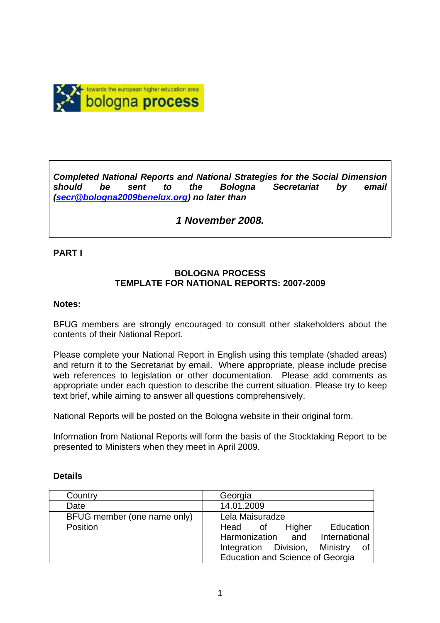

*Completed National Reports and National Strategies for the Social Dimension should be sent to the Bologna Secretariat by email (secr@bologna2009benelux.org) no later than* 

# *1 November 2008.*

### **PART I**

## **BOLOGNA PROCESS TEMPLATE FOR NATIONAL REPORTS: 2007-2009**

#### **Notes:**

BFUG members are strongly encouraged to consult other stakeholders about the contents of their National Report.

Please complete your National Report in English using this template (shaded areas) and return it to the Secretariat by email. Where appropriate, please include precise web references to legislation or other documentation. Please add comments as appropriate under each question to describe the current situation. Please try to keep text brief, while aiming to answer all questions comprehensively.

National Reports will be posted on the Bologna website in their original form.

Information from National Reports will form the basis of the Stocktaking Report to be presented to Ministers when they meet in April 2009.

| Country                     | Georgia                                 |
|-----------------------------|-----------------------------------------|
| Date                        | 14.01.2009                              |
| BFUG member (one name only) | Lela Maisuradze                         |
| Position                    | Higher<br>Head of<br>Education          |
|                             | Harmonization and International         |
|                             | Integration Division, Ministry<br>οf    |
|                             | <b>Education and Science of Georgia</b> |

#### **Details**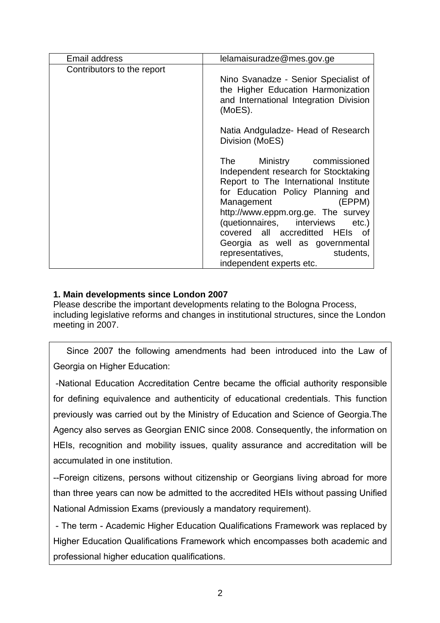| Email address              | lelamaisuradze@mes.gov.ge                                                                                                                                                                                                                                                                                                                                                                            |
|----------------------------|------------------------------------------------------------------------------------------------------------------------------------------------------------------------------------------------------------------------------------------------------------------------------------------------------------------------------------------------------------------------------------------------------|
| Contributors to the report | Nino Svanadze - Senior Specialist of<br>the Higher Education Harmonization<br>and International Integration Division<br>(MoES).                                                                                                                                                                                                                                                                      |
|                            | Natia Andguladze- Head of Research<br>Division (MoES)                                                                                                                                                                                                                                                                                                                                                |
|                            | Ministry commissioned<br><b>The</b><br>Independent research for Stocktaking<br>Report to The International Institute<br>for Education Policy Planning and<br>(EPPM)<br>Management<br>http://www.eppm.org.ge. The survey<br>(quetionnaires, interviews<br>$etc.$ )<br>covered all accreditted HEIs of<br>Georgia as well as governmental<br>representatives,<br>students,<br>independent experts etc. |

# **1. Main developments since London 2007**

Please describe the important developments relating to the Bologna Process, including legislative reforms and changes in institutional structures, since the London meeting in 2007.

 Since 2007 the following amendments had been introduced into the Law of Georgia on Higher Education:

 -National Education Accreditation Centre became the official authority responsible for defining equivalence and authenticity of educational credentials. This function previously was carried out by the Ministry of Education and Science of Georgia.The Agency also serves as Georgian ENIC since 2008. Consequently, the information on HEIs, recognition and mobility issues, quality assurance and accreditation will be accumulated in one institution.

--Foreign citizens, persons without citizenship or Georgians living abroad for more than three years can now be admitted to the accredited HEIs without passing Unified National Admission Exams (previously a mandatory requirement).

 - The term - Academic Higher Education Qualifications Framework was replaced by Higher Education Qualifications Framework which encompasses both academic and professional higher education qualifications.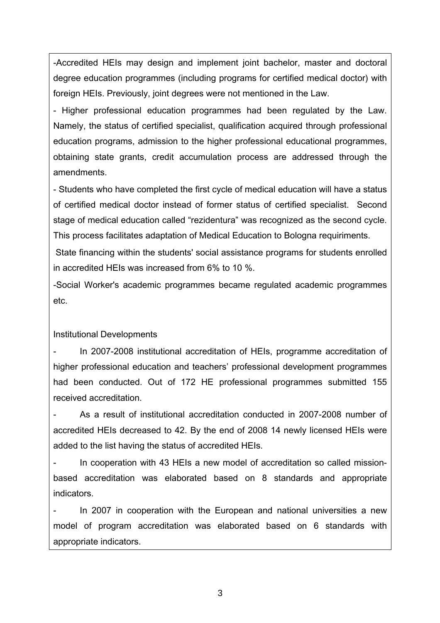-Accredited HEIs may design and implement joint bachelor, master and doctoral degree education programmes (including programs for certified medical doctor) with foreign HEIs. Previously, joint degrees were not mentioned in the Law.

- Higher professional education programmes had been regulated by the Law. Namely, the status of certified specialist, qualification acquired through professional education programs, admission to the higher professional educational programmes, obtaining state grants, credit accumulation process are addressed through the amendments.

- Students who have completed the first cycle of medical education will have a status of certified medical doctor instead of former status of certified specialist. Second stage of medical education called "rezidentura" was recognized as the second cycle. This process facilitates adaptation of Medical Education to Bologna requiriments.

 State financing within the students' social assistance programs for students enrolled in accredited HEIs was increased from 6% to 10 %.

-Social Worker's academic programmes became regulated academic programmes etc.

## Institutional Developments

- In 2007-2008 institutional accreditation of HEIs, programme accreditation of higher professional education and teachers' professional development programmes had been conducted. Out of 172 HE professional programmes submitted 155 received accreditation.

As a result of institutional accreditation conducted in 2007-2008 number of accredited HEIs decreased to 42. By the end of 2008 14 newly licensed HEIs were added to the list having the status of accredited HEIs.

In cooperation with 43 HEIs a new model of accreditation so called missionbased accreditation was elaborated based on 8 standards and appropriate indicators.

In 2007 in cooperation with the European and national universities a new model of program accreditation was elaborated based on 6 standards with appropriate indicators.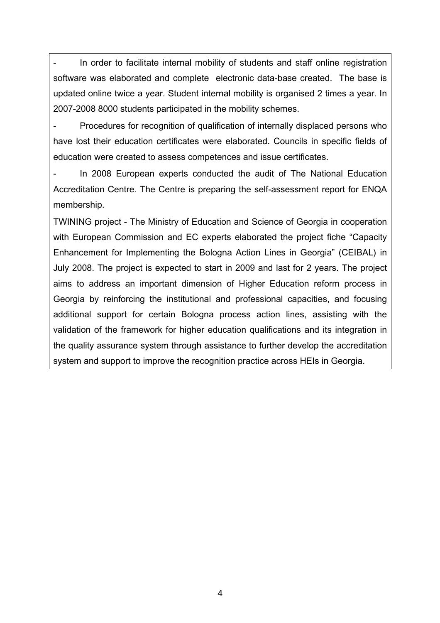In order to facilitate internal mobility of students and staff online registration software was elaborated and complete electronic data-base created. The base is updated online twice a year. Student internal mobility is organised 2 times a year. In 2007-2008 8000 students participated in the mobility schemes.

Procedures for recognition of qualification of internally displaced persons who have lost their education certificates were elaborated. Councils in specific fields of education were created to assess competences and issue certificates.

In 2008 European experts conducted the audit of The National Education Accreditation Centre. The Centre is preparing the self-assessment report for ENQA membership.

TWINING project - The Ministry of Education and Science of Georgia in cooperation with European Commission and EC experts elaborated the project fiche "Capacity Enhancement for Implementing the Bologna Action Lines in Georgia" (CEIBAL) in July 2008. The project is expected to start in 2009 and last for 2 years. The project aims to address an important dimension of Higher Education reform process in Georgia by reinforcing the institutional and professional capacities, and focusing additional support for certain Bologna process action lines, assisting with the validation of the framework for higher education qualifications and its integration in the quality assurance system through assistance to further develop the accreditation system and support to improve the recognition practice across HEIs in Georgia.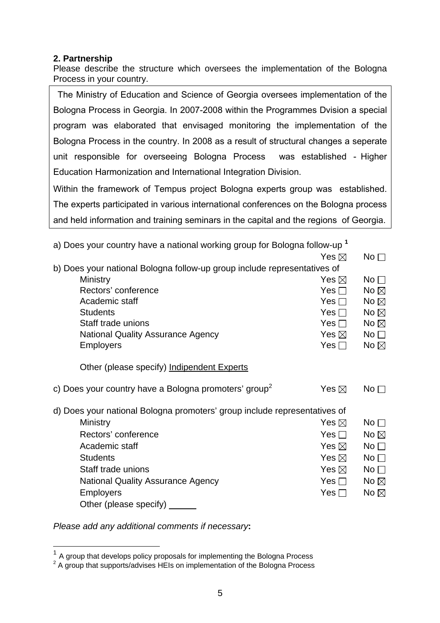## **2. Partnership**

Please describe the structure which oversees the implementation of the Bologna Process in your country.

 The Ministry of Education and Science of Georgia oversees implementation of the Bologna Process in Georgia. In 2007-2008 within the Programmes Dvision a special program was elaborated that envisaged monitoring the implementation of the Bologna Process in the country. In 2008 as a result of structural changes a seperate unit responsible for overseeing Bologna Process was established - Higher Education Harmonization and International Integration Division.

Within the framework of Tempus project Bologna experts group was established. The experts participated in various international conferences on the Bologna process and held information and training seminars in the capital and the regions of Georgia.

a) Does your country have a national working group for Bologna follow-up **<sup>1</sup>**  $\mathsf{Yes} \boxtimes \mathsf{No}$ 

|                                                                           |                 | ' '' '          |
|---------------------------------------------------------------------------|-----------------|-----------------|
| b) Does your national Bologna follow-up group include representatives of  |                 |                 |
| Ministry                                                                  | Yes $\boxtimes$ | No <sub>1</sub> |
| Rectors' conference                                                       | Yes $\Box$      | No $\boxtimes$  |
| Academic staff                                                            | Yes $\square$   | No $\boxtimes$  |
| <b>Students</b>                                                           | Yes $\Box$      | No $\boxtimes$  |
| Staff trade unions                                                        | Yes $\Box$      | No $\boxtimes$  |
| National Quality Assurance Agency                                         | Yes $\boxtimes$ | No <sub>1</sub> |
| <b>Employers</b>                                                          | Yes $\Box$      | No $\boxtimes$  |
| Other (please specify) Indipendent Experts                                |                 |                 |
| c) Does your country have a Bologna promoters' group <sup>2</sup>         | Yes $\boxtimes$ | No $\Box$       |
| d) Does your national Bologna promoters' group include representatives of |                 |                 |
| Ministry                                                                  | Yes $\boxtimes$ | No $\square$    |
| Rectors' conference                                                       | Yes $\Box$      | No $\boxtimes$  |
| Academic staff                                                            | Yes $\boxtimes$ | No $\square$    |
| <b>Students</b>                                                           | Yes $\boxtimes$ | No $\square$    |
| Staff trade unions                                                        | Yes $\boxtimes$ | No $\square$    |
| <b>National Quality Assurance Agency</b>                                  | Yes $\Box$      | No $\boxtimes$  |
| <b>Employers</b>                                                          | Yes $\Box$      | No $\boxtimes$  |
| Other (please specify) ______                                             |                 |                 |
|                                                                           |                 |                 |

*Please add any additional comments if necessary***:** 

 $\overline{a}$ 

 $1$  A group that develops policy proposals for implementing the Bologna Process

 $2$  A group that supports/advises HEIs on implementation of the Bologna Process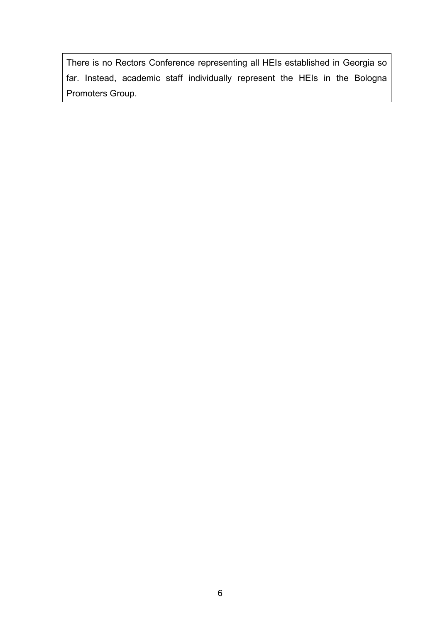There is no Rectors Conference representing all HEIs established in Georgia so far. Instead, academic staff individually represent the HEIs in the Bologna Promoters Group.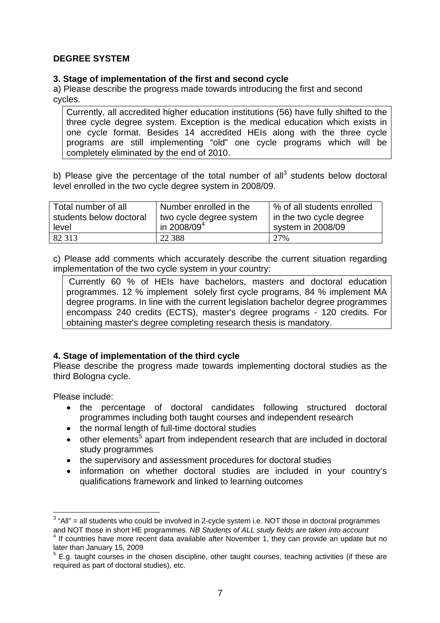## **DEGREE SYSTEM**

### **3. Stage of implementation of the first and second cycle**

a) Please describe the progress made towards introducing the first and second cycles.

Currently, all accredited higher education institutions (56) have fully shifted to the three cycle degree system. Exception is the medical education which exists in one cycle format. Besides 14 accredited HEIs along with the three cycle programs are still implementing "old" one cycle programs which will be completely eliminated by the end of 2010.

b) Please give the percentage of the total number of all<sup>3</sup> students below doctoral level enrolled in the two cycle degree system in 2008/09.

| Total number of all     | Number enrolled in the  | % of all students enrolled |
|-------------------------|-------------------------|----------------------------|
|                         |                         |                            |
| students below doctoral | two cycle degree system | in the two cycle degree    |
| level                   | in 2008/09 <sup>4</sup> | system in 2008/09          |
| 82 313                  | 22 3 8 8                | 2.7%                       |

c) Please add comments which accurately describe the current situation regarding implementation of the two cycle system in your country:

 Currently 60 % of HEIs have bachelors, masters and doctoral education programmes. 12 % implement solely first cycle programs, 84 % implement MA degree programs. In line with the current legislation bachelor degree programmes encompass 240 credits (ECTS), master's degree programs - 120 credits. For obtaining master's degree completing research thesis is mandatory.

## **4. Stage of implementation of the third cycle**

Please describe the progress made towards implementing doctoral studies as the third Bologna cycle.

Please include:

- the percentage of doctoral candidates following structured doctoral programmes including both taught courses and independent research
- the normal length of full-time doctoral studies
- $\bullet$  other elements<sup>5</sup> apart from independent research that are included in doctoral study programmes
- the supervisory and assessment procedures for doctoral studies
- information on whether doctoral studies are included in your country's qualifications framework and linked to learning outcomes

 $\overline{a}$  $3$  "All" = all students who could be involved in 2-cycle system i.e. NOT those in doctoral programmes and NOT those in short HE programmes. *NB Students of ALL study fields are taken into account*

<sup>&</sup>lt;sup>4</sup> If countries have more recent data available after November 1, they can provide an update but no later than January 15, 2009

 $5$  E.g. taught courses in the chosen discipline, other taught courses, teaching activities (if these are required as part of doctoral studies), etc.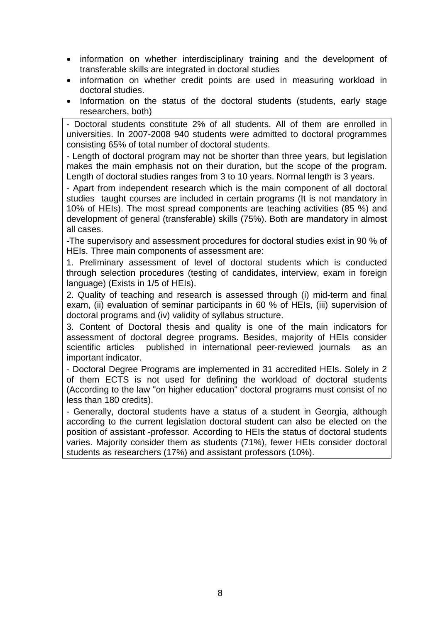- information on whether interdisciplinary training and the development of transferable skills are integrated in doctoral studies
- information on whether credit points are used in measuring workload in doctoral studies.
- Information on the status of the doctoral students (students, early stage researchers, both)

- Doctoral students constitute 2% of all students. All of them are enrolled in universities. In 2007-2008 940 students were admitted to doctoral programmes consisting 65% of total number of doctoral students.

- Length of doctoral program may not be shorter than three years, but legislation makes the main emphasis not on their duration, but the scope of the program. Length of doctoral studies ranges from 3 to 10 years. Normal length is 3 years.

- Apart from independent research which is the main component of all doctoral studies taught courses are included in certain programs (It is not mandatory in 10% of HEIs). The most spread components are teaching activities (85 %) and development of general (transferable) skills (75%). Both are mandatory in almost all cases.

-The supervisory and assessment procedures for doctoral studies exist in 90 % of HEIs. Three main components of assessment are:

1. Preliminary assessment of level of doctoral students which is conducted through selection procedures (testing of candidates, interview, exam in foreign language) (Exists in 1/5 of HEIs).

2. Quality of teaching and research is assessed through (i) mid-term and final exam, (ii) evaluation of seminar participants in 60 % of HEIs, (iii) supervision of doctoral programs and (iv) validity of syllabus structure.

3. Content of Doctoral thesis and quality is one of the main indicators for assessment of doctoral degree programs. Besides, majority of HEIs consider scientific articles published in international peer-reviewed journals as an important indicator.

- Doctoral Degree Programs are implemented in 31 accredited HEIs. Solely in 2 of them ECTS is not used for defining the workload of doctoral students (According to the law "on higher education" doctoral programs must consist of no less than 180 credits).

- Generally, doctoral students have a status of a student in Georgia, although according to the current legislation doctoral student can also be elected on the position of assistant -professor. According to HEIs the status of doctoral students varies. Majority consider them as students (71%), fewer HEIs consider doctoral students as researchers (17%) and assistant professors (10%).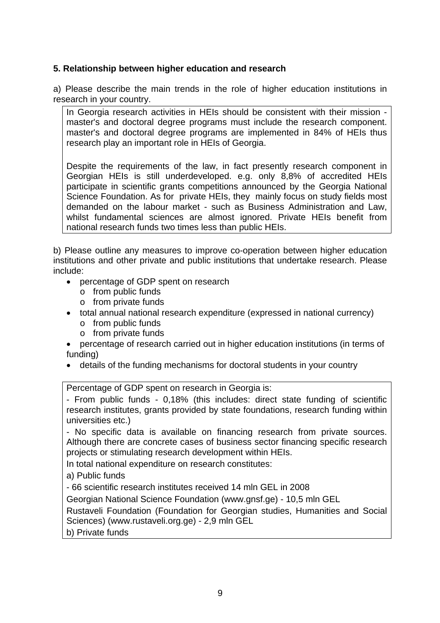## **5. Relationship between higher education and research**

a) Please describe the main trends in the role of higher education institutions in research in your country.

In Georgia research activities in HEIs should be consistent with their mission master's and doctoral degree programs must include the research component. master's and doctoral degree programs are implemented in 84% of HEIs thus research play an important role in HEIs of Georgia.

Despite the requirements of the law, in fact presently research component in Georgian HEIs is still underdeveloped. e.g. only 8,8% of accredited HEIs participate in scientific grants competitions announced by the Georgia National Science Foundation. As for private HEIs, they mainly focus on study fields most demanded on the labour market - such as Business Administration and Law, whilst fundamental sciences are almost ignored. Private HEIs benefit from national research funds two times less than public HEIs.

b) Please outline any measures to improve co-operation between higher education institutions and other private and public institutions that undertake research. Please include:

- percentage of GDP spent on research
	- o from public funds
	- o from private funds
- total annual national research expenditure (expressed in national currency)
	- o from public funds
	- o from private funds
- percentage of research carried out in higher education institutions (in terms of funding)
- details of the funding mechanisms for doctoral students in your country

Percentage of GDP spent on research in Georgia is:

- From public funds - 0,18% (this includes: direct state funding of scientific research institutes, grants provided by state foundations, research funding within universities etc.)

- No specific data is available on financing research from private sources. Although there are concrete cases of business sector financing specific research projects or stimulating research development within HEIs.

In total national expenditure on research constitutes:

a) Public funds

- 66 scientific research institutes received 14 mln GEL in 2008

Georgian National Science Foundation (www.gnsf.ge) - 10,5 mln GEL

Rustaveli Foundation (Foundation for Georgian studies, Humanities and Social Sciences) (www.rustaveli.org.ge) - 2,9 mln GEL

b) Private funds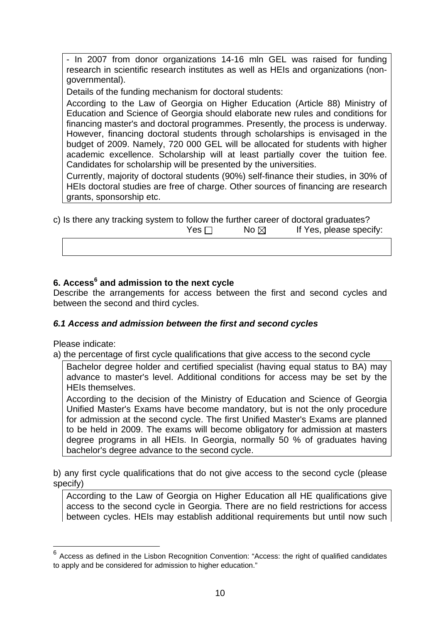- In 2007 from donor organizations 14-16 mln GEL was raised for funding research in scientific research institutes as well as HEIs and organizations (nongovernmental).

Details of the funding mechanism for doctoral students:

According to the Law of Georgia on Higher Education (Article 88) Ministry of Education and Science of Georgia should elaborate new rules and conditions for financing master's and doctoral programmes. Presently, the process is underway. However, financing doctoral students through scholarships is envisaged in the budget of 2009. Namely, 720 000 GEL will be allocated for students with higher academic excellence. Scholarship will at least partially cover the tuition fee. Candidates for scholarship will be presented by the universities.

Currently, majority of doctoral students (90%) self-finance their studies, in 30% of HEIs doctoral studies are free of charge. Other sources of financing are research grants, sponsorship etc.

| c) Is there any tracking system to follow the further career of doctoral graduates? |            |                |                         |
|-------------------------------------------------------------------------------------|------------|----------------|-------------------------|
|                                                                                     | Yes $\Box$ | No $\boxtimes$ | If Yes, please specify: |
|                                                                                     |            |                |                         |

# **6. Access<sup>6</sup> and admission to the next cycle**

Describe the arrangements for access between the first and second cycles and between the second and third cycles.

## *6.1 Access and admission between the first and second cycles*

Please indicate:

 $\overline{a}$ 

a) the percentage of first cycle qualifications that give access to the second cycle

Bachelor degree holder and certified specialist (having equal status to BA) may advance to master's level. Additional conditions for access may be set by the HEIs themselves.

According to the decision of the Ministry of Education and Science of Georgia Unified Master's Exams have become mandatory, but is not the only procedure for admission at the second cycle. The first Unified Master's Exams are planned to be held in 2009. The exams will become obligatory for admission at masters degree programs in all HEIs. In Georgia, normally 50 % of graduates having bachelor's degree advance to the second cycle.

b) any first cycle qualifications that do not give access to the second cycle (please specify)

According to the Law of Georgia on Higher Education all HE qualifications give access to the second cycle in Georgia. There are no field restrictions for access between cycles. HEIs may establish additional requirements but until now such

 $6$  Access as defined in the Lisbon Recognition Convention: "Access: the right of qualified candidates to apply and be considered for admission to higher education."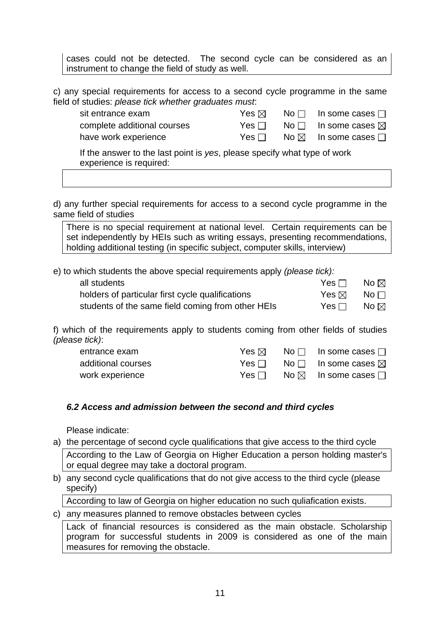cases could not be detected. The second cycle can be considered as an instrument to change the field of study as well.

c) any special requirements for access to a second cycle programme in the same field of studies: *please tick whether graduates must*:

| sit entrance exam           | Yes ⊠_     | $\mathsf{No} \ \Box$ In some cases $\Box$ |
|-----------------------------|------------|-------------------------------------------|
| complete additional courses | Yes $\Box$ | No $\square$ In some cases $\boxtimes$    |
| have work experience        | Yesll      | No $\boxtimes$ In some cases $\Box$       |
|                             |            |                                           |

If the answer to the last point is *yes*, please specify what type of work experience is required:

d) any further special requirements for access to a second cycle programme in the same field of studies

There is no special requirement at national level. Certain requirements can be set independently by HEIs such as writing essays, presenting recommendations, holding additional testing (in specific subject, computer skills, interview)

e) to which students the above special requirements apply *(please tick):*

| all students                                      | Yes $\Box$ | No $\boxtimes$ |
|---------------------------------------------------|------------|----------------|
| holders of particular first cycle qualifications  | Yes ⊠_     | No $\sqcap$    |
| students of the same field coming from other HEIs | Yes ⊟_     | No $\boxtimes$ |

f) which of the requirements apply to students coming from other fields of studies *(please tick)*:

| entrance exam      | Yes ⊠ ∶ | $No \Box$ In some cases $\Box$                        |
|--------------------|---------|-------------------------------------------------------|
| additional courses | Yes I∃  | No $\Box$ In some cases $\boxtimes$                   |
| work experience    | Yes∣∃   | $\mathsf{No} \boxtimes \mathsf{In}$ some cases $\Box$ |

### *6.2 Access and admission between the second and third cycles*

Please indicate:

- a) the percentage of second cycle qualifications that give access to the third cycle According to the Law of Georgia on Higher Education a person holding master's or equal degree may take a doctoral program.
- b) any second cycle qualifications that do not give access to the third cycle (please specify)

According to law of Georgia on higher education no such quliafication exists.

c) any measures planned to remove obstacles between cycles

Lack of financial resources is considered as the main obstacle. Scholarship program for successful students in 2009 is considered as one of the main measures for removing the obstacle.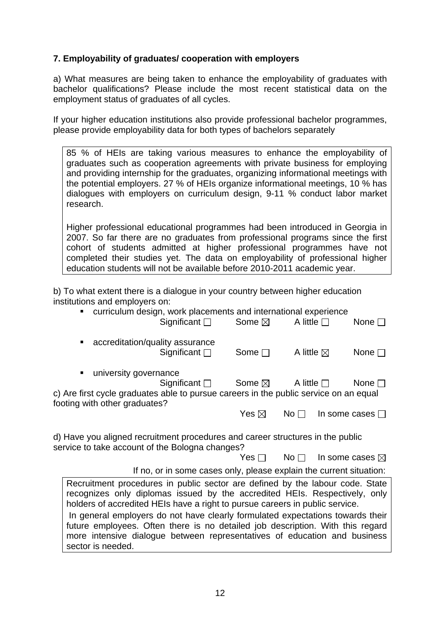## **7. Employability of graduates/ cooperation with employers**

a) What measures are being taken to enhance the employability of graduates with bachelor qualifications? Please include the most recent statistical data on the employment status of graduates of all cycles.

If your higher education institutions also provide professional bachelor programmes, please provide employability data for both types of bachelors separately

85 % of HEIs are taking various measures to enhance the employability of graduates such as cooperation agreements with private business for employing and providing internship for the graduates, organizing informational meetings with the potential employers. 27 % of HEIs organize informational meetings, 10 % has dialogues with employers on curriculum design, 9-11 % conduct labor market research.

Higher professional educational programmes had been introduced in Georgia in 2007. So far there are no graduates from professional programs since the first cohort of students admitted at higher professional programmes have not completed their studies yet. The data on employability of professional higher education students will not be available before 2010-2011 academic year.

b) To what extent there is a dialogue in your country between higher education institutions and employers on:

| $\blacksquare$                                                                                                                                                                                                                               | curriculum design, work placements and international experience     |                           |                      |                           |
|----------------------------------------------------------------------------------------------------------------------------------------------------------------------------------------------------------------------------------------------|---------------------------------------------------------------------|---------------------------|----------------------|---------------------------|
|                                                                                                                                                                                                                                              | Significant $\square$                                               | Some $\boxtimes$          | A little $\Box$      | None $\square$            |
| ٠                                                                                                                                                                                                                                            | accreditation/quality assurance<br>Significant $\square$            | Some $\square$            | A little $\boxtimes$ | None $\square$            |
| university governance<br>п                                                                                                                                                                                                                   | Significant $\square$                                               | Some $\boxtimes$          | A little $\Box$      | None $\Box$               |
| c) Are first cycle graduates able to pursue careers in the public service on an equal<br>footing with other graduates?                                                                                                                       |                                                                     |                           |                      |                           |
|                                                                                                                                                                                                                                              |                                                                     | Yes $\boxtimes$           | No <sub>1</sub>      | In some cases $\Box$      |
| d) Have you aligned recruitment procedures and career structures in the public<br>service to take account of the Bologna changes?                                                                                                            |                                                                     |                           |                      |                           |
|                                                                                                                                                                                                                                              |                                                                     | $Yes \Box \qquad No \Box$ |                      | In some cases $\boxtimes$ |
|                                                                                                                                                                                                                                              | If no, or in some cases only, please explain the current situation: |                           |                      |                           |
| Recruitment procedures in public sector are defined by the labour code. State                                                                                                                                                                |                                                                     |                           |                      |                           |
| recognizes only diplomas issued by the accredited HEIs. Respectively, only<br>holders of accredited HEIs have a right to pursue careers in public service.<br>In general employers do not have clearly formulated expectations towards their |                                                                     |                           |                      |                           |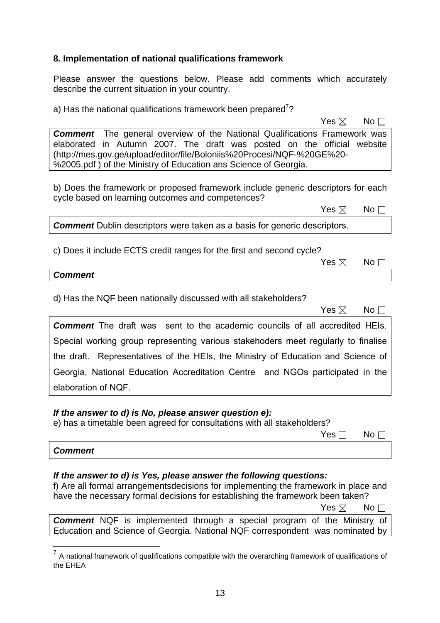### **8. Implementation of national qualifications framework**

Please answer the questions below. Please add comments which accurately describe the current situation in your country.

a) Has the national qualifications framework been prepared<sup>7</sup>?

 $\mathsf{Yes} \boxtimes \mathsf{No}$ 

**Comment** The general overview of the National Qualifications Framework was elaborated in Autumn 2007. The draft was posted on the official website (http://mes.gov.ge/upload/editor/file/Boloniis%20Procesi/NQF-%20GE%20- %2005.pdf ) of the Ministry of Education ans Science of Georgia.

b) Does the framework or proposed framework include generic descriptors for each cycle based on learning outcomes and competences?

 $\mathsf{Yes} \boxtimes \mathsf{No}$ 

**Comment** Dublin descriptors were taken as a basis for generic descriptors.

c) Does it include ECTS credit ranges for the first and second cycle?

 $\mathsf{Yes} \boxtimes \mathsf{No}$ 

#### *Comment*

d) Has the NQF been nationally discussed with all stakeholders?

 $\mathsf{Yes} \boxtimes \mathsf{No}$ 

**Comment** The draft was sent to the academic councils of all accredited HEIs. Special working group representing various stakehoders meet regularly to finalise the draft. Representatives of the HEIs, the Ministry of Education and Science of Georgia, National Education Accreditation Centre and NGOs participated in the elaboration of NQF.

### *If the answer to d) is No, please answer question e):*

e) has a timetable been agreed for consultations with all stakeholders?

| $Yes \Box$ No $\Box$ |  |
|----------------------|--|
|                      |  |

*Comment*

 $\overline{a}$ 

### *If the answer to d) is Yes, please answer the following questions:*

f) Are all formal arrangementsdecisions for implementing the framework in place and have the necessary formal decisions for establishing the framework been taken?  $\mathsf{Yes} \boxtimes \mathsf{No}$ 

*Comment* NQF is implemented through a special program of the Ministry of Education and Science of Georgia. National NQF correspondent was nominated by

 $<sup>7</sup>$  A national framework of qualifications compatible with the overarching framework of qualifications of</sup> the EHEA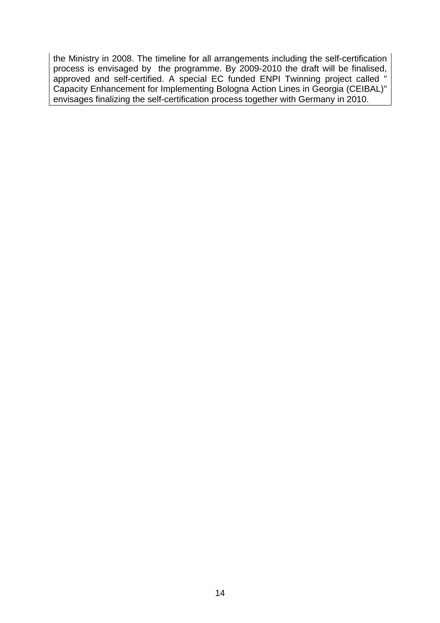the Ministry in 2008. The timeline for all arrangements including the self-certification process is envisaged by the programme. By 2009-2010 the draft will be finalised, approved and self-certified. A special EC funded ENPI Twinning project called " Capacity Enhancement for Implementing Bologna Action Lines in Georgia (CEIBAL)" envisages finalizing the self-certification process together with Germany in 2010.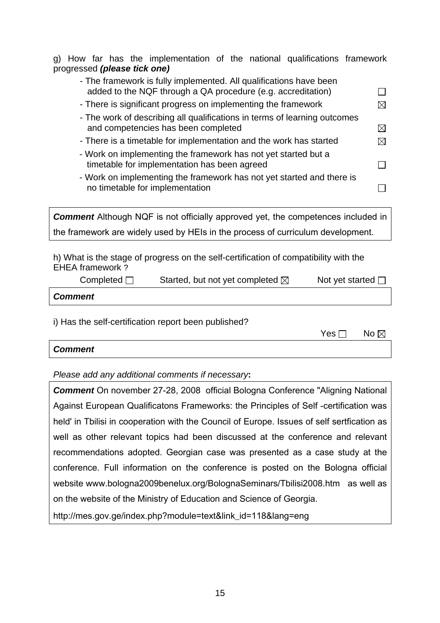g) How far has the implementation of the national qualifications framework progressed *(please tick one)*

| - The framework is fully implemented. All qualifications have been<br>added to the NQF through a QA procedure (e.g. accreditation)                                                                            |                |
|---------------------------------------------------------------------------------------------------------------------------------------------------------------------------------------------------------------|----------------|
| - There is significant progress on implementing the framework                                                                                                                                                 | ⊠              |
| - The work of describing all qualifications in terms of learning outcomes<br>and competencies has been completed                                                                                              | $\boxtimes$    |
| - There is a timetable for implementation and the work has started                                                                                                                                            | ⊠              |
| - Work on implementing the framework has not yet started but a<br>timetable for implementation has been agreed                                                                                                |                |
| - Work on implementing the framework has not yet started and there is<br>no timetable for implementation                                                                                                      |                |
| <b>Comment</b> Although NQF is not officially approved yet, the competences included in                                                                                                                       |                |
| the framework are widely used by HEIs in the process of curriculum development.                                                                                                                               |                |
| h) What is the stage of progress on the self-certification of compatibility with the<br><b>EHEA framework?</b><br>Completed $\Box$<br>Started, but not yet completed $\boxtimes$<br>Not yet started $\square$ |                |
| <b>Comment</b>                                                                                                                                                                                                |                |
| i) Has the self-certification report been published?<br>Yes $\square$                                                                                                                                         | No $\boxtimes$ |

| <b>Comment</b> |  |
|----------------|--|
|----------------|--|

*Please add any additional comments if necessary***:** 

*Comment* On november 27-28, 2008 official Bologna Conference "Aligning National Against European Qualificatons Frameworks: the Principles of Self -certification was held' in Tbilisi in cooperation with the Council of Europe. Issues of self sertfication as well as other relevant topics had been discussed at the conference and relevant recommendations adopted. Georgian case was presented as a case study at the conference. Full information on the conference is posted on the Bologna official website www.bologna2009benelux.org/BolognaSeminars/Tbilisi2008.htm as well as on the website of the Ministry of Education and Science of Georgia.

http://mes.gov.ge/index.php?module=text&link\_id=118&lang=eng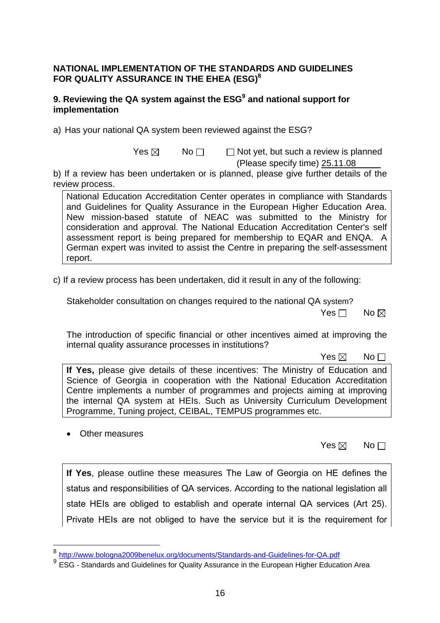### **NATIONAL IMPLEMENTATION OF THE STANDARDS AND GUIDELINES FOR QUALITY ASSURANCE IN THE EHEA (ESG)8**

## **9. Reviewing the QA system against the ESG<sup>9</sup> and national support for implementation**

a) Has your national QA system been reviewed against the ESG?

 $Yes \boxtimes$  No $\Box$  Not yet, but such a review is planned

(Please specify time) 25.11.08

b) If a review has been undertaken or is planned, please give further details of the review process.

National Education Accreditation Center operates in compliance with Standards and Guidelines for Quality Assurance in the European Higher Education Area. New mission-based statute of NEAC was submitted to the Ministry for consideration and approval. The National Education Accreditation Center's self assessment report is being prepared for membership to EQAR and ENQA. A German expert was invited to assist the Centre in preparing the self-assessment report.

c) If a review process has been undertaken, did it result in any of the following:

Stakeholder consultation on changes required to the national QA system?

No and the set of the set of the SNo and the SNo and the No and the No and the No and the No and the No and the No

The introduction of specific financial or other incentives aimed at improving the internal quality assurance processes in institutions?

 $\mathsf{Yes} \boxtimes \mathsf{No}$ 

**If Yes,** please give details of these incentives: The Ministry of Education and Science of Georgia in cooperation with the National Education Accreditation Centre implements a number of programmes and projects aiming at improving the internal QA system at HEIs. Such as University Curriculum Development Programme, Tuning project, CEIBAL, TEMPUS programmes etc.

• Other measures

 $\overline{a}$ 

Yes  $\boxtimes$  No  $\Box$ 

**If Yes**, please outline these measures The Law of Georgia on HE defines the status and responsibilities of QA services. According to the national legislation all state HEIs are obliged to establish and operate internal QA services (Art 25). Private HEIs are not obliged to have the service but it is the requirement for

<sup>8</sup> http://www.bologna2009benelux.org/documents/Standards-and-Guidelines-for-QA.pdf

<sup>9</sup> ESG - Standards and Guidelines for Quality Assurance in the European Higher Education Area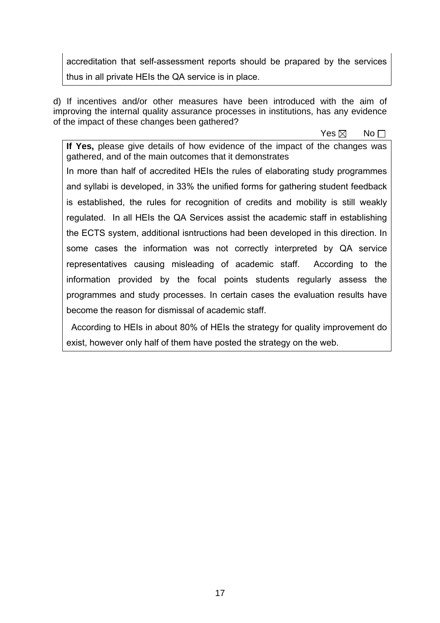accreditation that self-assessment reports should be prapared by the services thus in all private HEIs the QA service is in place.

d) If incentives and/or other measures have been introduced with the aim of improving the internal quality assurance processes in institutions, has any evidence of the impact of these changes been gathered?

 $\mathsf{Yes} \boxtimes \mathsf{No}$ 

**If Yes,** please give details of how evidence of the impact of the changes was gathered, and of the main outcomes that it demonstrates

In more than half of accredited HEIs the rules of elaborating study programmes and syllabi is developed, in 33% the unified forms for gathering student feedback is established, the rules for recognition of credits and mobility is still weakly regulated. In all HEIs the QA Services assist the academic staff in establishing the ECTS system, additional isntructions had been developed in this direction. In some cases the information was not correctly interpreted by QA service representatives causing misleading of academic staff. According to the information provided by the focal points students regularly assess the programmes and study processes. In certain cases the evaluation results have become the reason for dismissal of academic staff.

 According to HEIs in about 80% of HEIs the strategy for quality improvement do exist, however only half of them have posted the strategy on the web.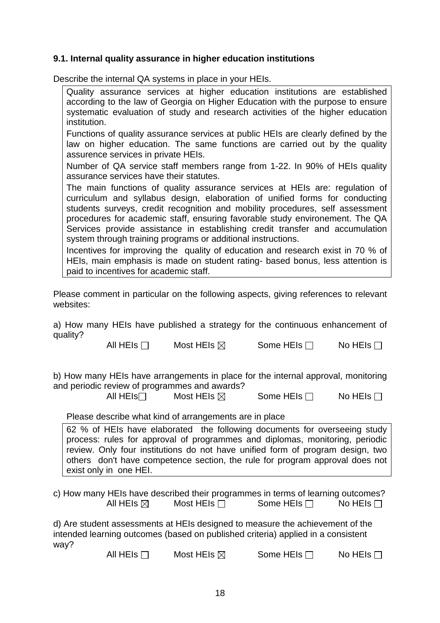## **9.1. Internal quality assurance in higher education institutions**

Describe the internal QA systems in place in your HEIs.

| Quality assurance services at higher education institutions are established<br>according to the law of Georgia on Higher Education with the purpose to ensure<br>systematic evaluation of study and research activities of the higher education<br>institution.                                                                                                                                                                                                             |
|-----------------------------------------------------------------------------------------------------------------------------------------------------------------------------------------------------------------------------------------------------------------------------------------------------------------------------------------------------------------------------------------------------------------------------------------------------------------------------|
| Functions of quality assurance services at public HEIs are clearly defined by the<br>law on higher education. The same functions are carried out by the quality<br>assurence services in private HEIs.                                                                                                                                                                                                                                                                      |
| Number of QA service staff members range from 1-22. In 90% of HEIs quality<br>assurance services have their statutes.                                                                                                                                                                                                                                                                                                                                                       |
| The main functions of quality assurance services at HEIs are: regulation of<br>curriculum and syllabus design, elaboration of unified forms for conducting<br>students surveys, credit recognition and mobility procedures, self assessment<br>procedures for academic staff, ensuring favorable study environement. The QA<br>Services provide assistance in establishing credit transfer and accumulation<br>system through training programs or additional instructions. |
| Incentives for improving the quality of education and research exist in 70 % of<br>HEIs, main emphasis is made on student rating- based bonus, less attention is<br>paid to incentives for academic staff.                                                                                                                                                                                                                                                                  |

Please comment in particular on the following aspects, giving references to relevant websites:

a) How many HEIs have published a strategy for the continuous enhancement of quality?

All HEIs  $\Box$  Most HEIs  $\boxtimes$  Some HEIs  $\Box$  No HEIs  $\Box$ 

b) How many HEIs have arrangements in place for the internal approval, monitoring and periodic review of programmes and awards?

All HEIs<sup> $\Box$ </sup> Most HEIs  $\boxtimes$  Some HEIs  $\Box$  No HEIs  $\Box$ 

### Please describe what kind of arrangements are in place

62 % of HEIs have elaborated the following documents for overseeing study process: rules for approval of programmes and diplomas, monitoring, periodic review. Only four institutions do not have unified form of program design, two others don't have competence section, the rule for program approval does not exist only in one HEI.

c) How many HEIs have described their programmes in terms of learning outcomes? All HEIs  $\boxtimes$  Most HEIs  $\Box$  Some HEIs  $\Box$  No HEIs  $\Box$ 

d) Are student assessments at HEIs designed to measure the achievement of the intended learning outcomes (based on published criteria) applied in a consistent way?

All HEIs  $\Box$  Most HEIs  $\boxtimes$  Some HEIs  $\Box$  No HEIs  $\Box$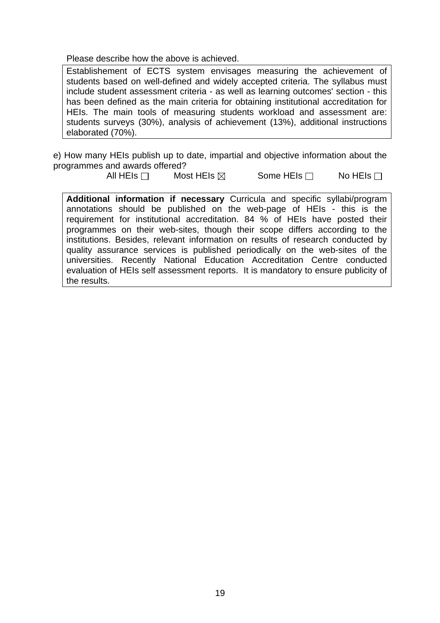Please describe how the above is achieved.

Establishement of ECTS system envisages measuring the achievement of students based on well-defined and widely accepted criteria. The syllabus must include student assessment criteria - as well as learning outcomes' section - this has been defined as the main criteria for obtaining institutional accreditation for HEIs. The main tools of measuring students workload and assessment are: students surveys (30%), analysis of achievement (13%), additional instructions elaborated (70%).

e) How many HEIs publish up to date, impartial and objective information about the programmes and awards offered?

All HEIs  $\Box$  Most HEIs  $\boxtimes$  Some HEIs  $\Box$  No HEIs  $\Box$ 

**Additional information if necessary** Curricula and specific syllabi/program annotations should be published on the web-page of HEIs - this is the requirement for institutional accreditation. 84 % of HEIs have posted their programmes on their web-sites, though their scope differs according to the institutions. Besides, relevant information on results of research conducted by quality assurance services is published periodically on the web-sites of the universities. Recently National Education Accreditation Centre conducted evaluation of HEIs self assessment reports. It is mandatory to ensure publicity of the results.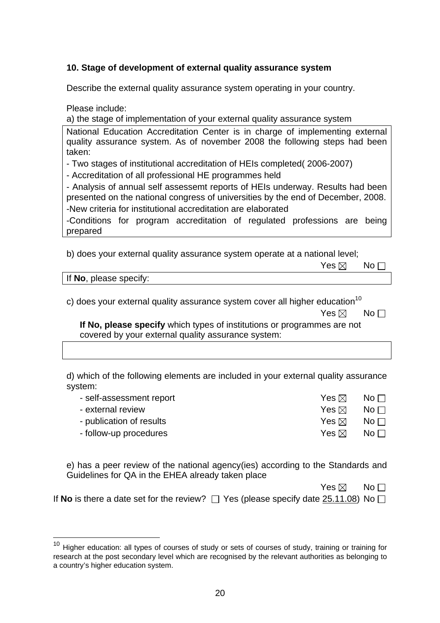## **10. Stage of development of external quality assurance system**

Describe the external quality assurance system operating in your country.

Please include:

a) the stage of implementation of your external quality assurance system

National Education Accreditation Center is in charge of implementing external quality assurance system. As of november 2008 the following steps had been taken:

- Two stages of institutional accreditation of HEIs completed( 2006-2007)

- Accreditation of all professional HE programmes held

- Analysis of annual self assessemt reports of HEIs underway. Results had been presented on the national congress of universities by the end of December, 2008. -New criteria for institutional accreditation are elaborated

-Conditions for program accreditation of regulated professions are being prepared

b) does your external quality assurance system operate at a national level;

|                      | $Yes \boxtimes \blacksquare No \square$ |  |
|----------------------|-----------------------------------------|--|
| o inlease snecify: . |                                         |  |

If **No**, please specify:

 $\overline{a}$ 

c) does your external quality assurance system cover all higher education<sup>10</sup>

**If No, please specify** which types of institutions or programmes are not covered by your external quality assurance system:

d) which of the following elements are included in your external quality assurance system:

| - self-assessment report | Yes ⊠           | No $\Box$                             |
|--------------------------|-----------------|---------------------------------------|
| - external review        | Yes ⊠           | No $\Box$                             |
| - publication of results | Yes $\boxtimes$ | $\overline{\mathsf{No}} \mathsf{\Pi}$ |
| - follow-up procedures   | Yes ⊠           | No $\Box$                             |

e) has a peer review of the national agency(ies) according to the Standards and Guidelines for QA in the EHEA already taken place

| Yes $\boxtimes$ No $\square$ |  |
|------------------------------|--|
|------------------------------|--|

|  | If No is there a date set for the review? $\Box$ Yes (please specify date $25.11.08$ ) No $\Box$ |  |
|--|--------------------------------------------------------------------------------------------------|--|
|--|--------------------------------------------------------------------------------------------------|--|

 $\mathsf{Yes} \boxtimes \mathsf{No}$ 

 $10$  Higher education: all types of courses of study or sets of courses of study, training or training for research at the post secondary level which are recognised by the relevant authorities as belonging to a country's higher education system.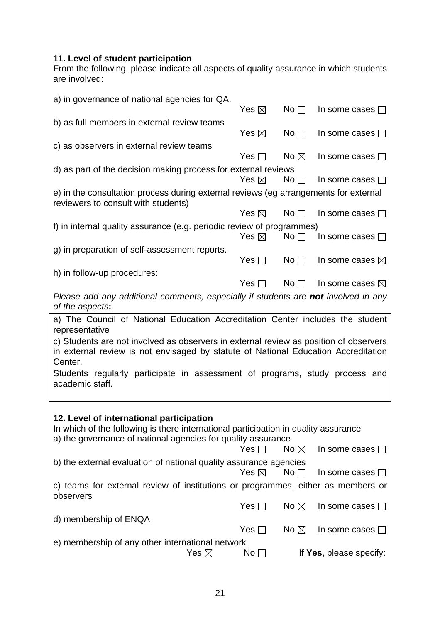### **11. Level of student participation**

From the following, please indicate all aspects of quality assurance in which students are involved:

| a) in governance of national agencies for QA.                                                                                                                                          |                 |                 |                           |
|----------------------------------------------------------------------------------------------------------------------------------------------------------------------------------------|-----------------|-----------------|---------------------------|
|                                                                                                                                                                                        | Yes $\boxtimes$ | No <sub>1</sub> | In some cases $\Box$      |
| b) as full members in external review teams                                                                                                                                            |                 |                 |                           |
|                                                                                                                                                                                        | Yes $\boxtimes$ | No <sub>1</sub> | In some cases $\square$   |
| c) as observers in external review teams                                                                                                                                               |                 |                 |                           |
|                                                                                                                                                                                        | Yes $\Box$      | No $\boxtimes$  | In some cases $\square$   |
| d) as part of the decision making process for external reviews                                                                                                                         |                 |                 |                           |
|                                                                                                                                                                                        | Yes $\boxtimes$ | No <sub>1</sub> | In some cases $\square$   |
| e) in the consultation process during external reviews (eg arrangements for external                                                                                                   |                 |                 |                           |
| reviewers to consult with students)                                                                                                                                                    |                 |                 |                           |
|                                                                                                                                                                                        | Yes $\boxtimes$ | No <sub>1</sub> | In some cases $\Box$      |
| f) in internal quality assurance (e.g. periodic review of programmes)                                                                                                                  |                 |                 |                           |
|                                                                                                                                                                                        | Yes $\boxtimes$ | No <sub>1</sub> | In some cases $\square$   |
| g) in preparation of self-assessment reports.                                                                                                                                          |                 |                 |                           |
|                                                                                                                                                                                        | Yes $\Box$      | No <sub>1</sub> | In some cases $\boxtimes$ |
| h) in follow-up procedures:                                                                                                                                                            |                 |                 |                           |
|                                                                                                                                                                                        | Yes $\Box$      | No <sub>1</sub> | In some cases $\boxtimes$ |
| Please add any additional comments, especially if students are not involved in any<br>of the aspects:                                                                                  |                 |                 |                           |
| a) The Council of National Education Accreditation Center includes the student                                                                                                         |                 |                 |                           |
| representative                                                                                                                                                                         |                 |                 |                           |
| c) Students are not involved as observers in external review as position of observers<br>in external review is not envisaged by statute of National Education Accreditation<br>Center. |                 |                 |                           |
| Students regularly participate in assessment of programs, study process and                                                                                                            |                 |                 |                           |
| academic staff.                                                                                                                                                                        |                 |                 |                           |
|                                                                                                                                                                                        |                 |                 |                           |
|                                                                                                                                                                                        |                 |                 |                           |
| 12. Level of international participation<br>In which of the following is there international participation in quality assurance                                                        |                 |                 |                           |
| a) the governance of national agencies for quality assurance                                                                                                                           |                 |                 |                           |
|                                                                                                                                                                                        | Yes $\Box$      | No $\boxtimes$  | In some cases $\square$   |
| b) the external evaluation of national quality assurance agencies                                                                                                                      |                 |                 |                           |
|                                                                                                                                                                                        | Yes $\boxtimes$ | No <sub>1</sub> | In some cases $\square$   |
| c) teams for external review of institutions or programmes, either as members or<br>observers                                                                                          |                 |                 |                           |
|                                                                                                                                                                                        | Yes $\Box$      | No $\boxtimes$  | In some cases $\square$   |
| d) membership of ENQA                                                                                                                                                                  |                 |                 |                           |
|                                                                                                                                                                                        | Yes $\Box$      | No $\boxtimes$  | In some cases $\square$   |
| e) membership of any other international network                                                                                                                                       |                 |                 |                           |

Pres ⊠ No D If **Yes**, please specify: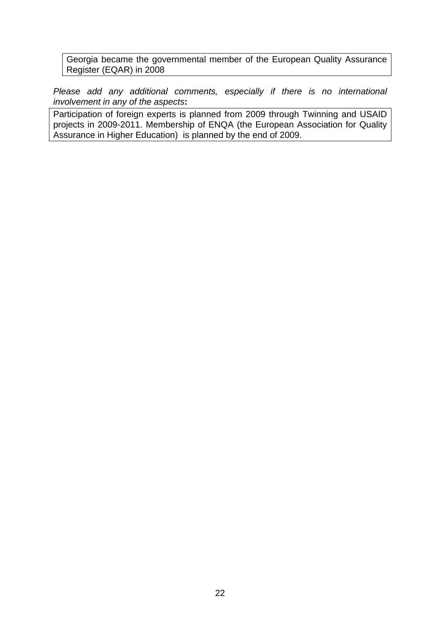Georgia became the governmental member of the European Quality Assurance Register (EQAR) in 2008

*Please add any additional comments, especially if there is no international involvement in any of the aspects***:** 

Participation of foreign experts is planned from 2009 through Twinning and USAID projects in 2009-2011. Membership of ENQA (the European Association for Quality Assurance in Higher Education) is planned by the end of 2009.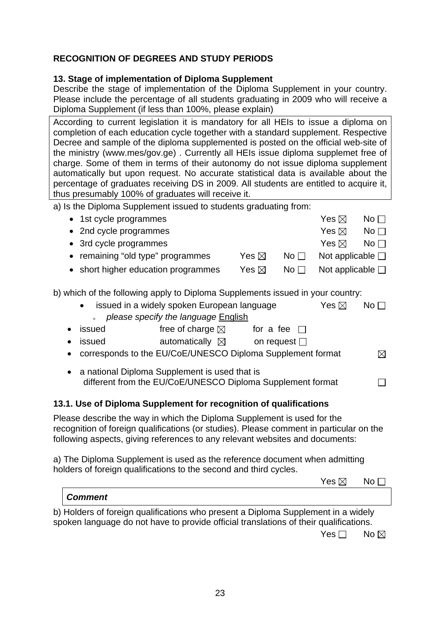# **RECOGNITION OF DEGREES AND STUDY PERIODS**

## **13. Stage of implementation of Diploma Supplement**

Describe the stage of implementation of the Diploma Supplement in your country. Please include the percentage of all students graduating in 2009 who will receive a Diploma Supplement (if less than 100%, please explain)

According to current legislation it is mandatory for all HEIs to issue a diploma on completion of each education cycle together with a standard supplement. Respective Decree and sample of the diploma supplemented is posted on the official web-site of the ministry (www.mes/gov.ge) . Currently all HEIs issue diploma supplemet free of charge. Some of them in terms of their autonomy do not issue diploma supplement automatically but upon request. No accurate statistical data is available about the percentage of graduates receiving DS in 2009. All students are entitled to acquire it, thus presumably 100% of graduates will receive it.

a) Is the Diploma Supplement issued to students graduating from:

|           | • 1st cycle programmes                                                                                                                                                                                                                             |                 |              | Yes $\boxtimes$          | No $\square$    |
|-----------|----------------------------------------------------------------------------------------------------------------------------------------------------------------------------------------------------------------------------------------------------|-----------------|--------------|--------------------------|-----------------|
| $\bullet$ | 2nd cycle programmes                                                                                                                                                                                                                               |                 |              | Yes $\boxtimes$          | No <sub>1</sub> |
| $\bullet$ | 3rd cycle programmes                                                                                                                                                                                                                               |                 |              | Yes $\boxtimes$          | No $\square$    |
|           | remaining "old type" programmes                                                                                                                                                                                                                    | Yes $\boxtimes$ | No $\square$ | Not applicable $\square$ |                 |
|           | • short higher education programmes                                                                                                                                                                                                                | Yes $\boxtimes$ | No $\square$ | Not applicable $\square$ |                 |
|           | b) which of the following apply to Diploma Supplements issued in your country:                                                                                                                                                                     |                 |              |                          |                 |
|           | issued in a widely spoken European language<br>$\bullet$<br>please specify the language English                                                                                                                                                    |                 |              | Yes $\boxtimes$          | No $\square$    |
| $\bullet$ | issued<br>free of charge $\boxtimes$ for a fee $\square$                                                                                                                                                                                           |                 |              |                          |                 |
| $\bullet$ | automatically $\boxtimes$ on request $\square$<br><b>issued</b>                                                                                                                                                                                    |                 |              |                          |                 |
| $\bullet$ | corresponds to the EU/CoE/UNESCO Diploma Supplement format                                                                                                                                                                                         |                 |              |                          | ⊠               |
|           | a national Diploma Supplement is used that is<br>different from the EU/CoE/UNESCO Diploma Supplement format                                                                                                                                        |                 |              |                          |                 |
|           | 13.1. Use of Diploma Supplement for recognition of qualifications                                                                                                                                                                                  |                 |              |                          |                 |
|           | Please describe the way in which the Diploma Supplement is used for the<br>recognition of foreign qualifications (or studies). Please comment in particular on the<br>following aspects, giving references to any relevant websites and documents: |                 |              |                          |                 |

a) The Diploma Supplement is used as the reference document when admitting bolders of foreign qualifications to the cocond and third evelops. holders of foreign qualifications to the second a

| holders of foreign qualifications to the second and third cycles.                                                                                                          |                 |                |
|----------------------------------------------------------------------------------------------------------------------------------------------------------------------------|-----------------|----------------|
|                                                                                                                                                                            | Yes $\boxtimes$ | $No \Box$      |
| <b>Comment</b>                                                                                                                                                             |                 |                |
| b) Holders of foreign qualifications who present a Diploma Supplement in a widely<br>spoken language do not have to provide official translations of their qualifications. |                 |                |
|                                                                                                                                                                            | Yes $\Box$      | No $\boxtimes$ |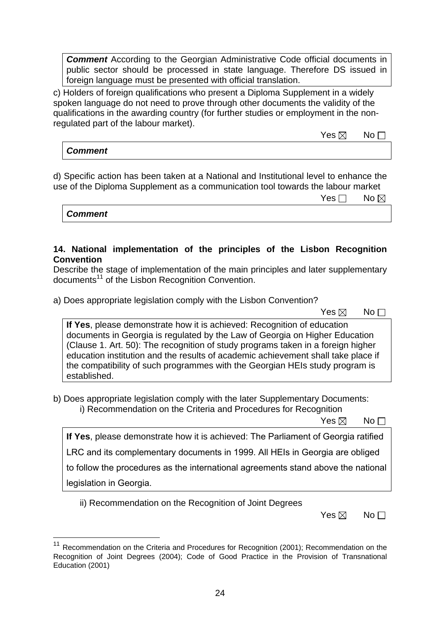**Comment** According to the Georgian Administrative Code official documents in public sector should be processed in state language. Therefore DS issued in foreign language must be presented with official translation.

c) Holders of foreign qualifications who present a Diploma Supplement in a widely spoken language do not need to prove through other documents the validity of the qualifications in the awarding country (for further studies or employment in the nonregulated part of the labour market).

 $\mathsf{Yes} \boxtimes \mathsf{No}$ 

*Comment* 

d) Specific action has been taken at a National and Institutional level to enhance the use of the Diploma Supplement as a communication tool towards the labour market

| Yes $\Box$ No $\boxtimes$ |
|---------------------------|
|---------------------------|

*Comment* 

## **14. National implementation of the principles of the Lisbon Recognition Convention**

Describe the stage of implementation of the main principles and later supplementary documents<sup>11</sup> of the Lisbon Recognition Convention.

a) Does appropriate legislation comply with the Lisbon Convention?

|  | Yes $\boxtimes$ No $\Box$ |  |
|--|---------------------------|--|
|  |                           |  |

**If Yes**, please demonstrate how it is achieved: Recognition of education documents in Georgia is regulated by the Law of Georgia on Higher Education (Clause 1. Art. 50): The recognition of study programs taken in a foreign higher education institution and the results of academic achievement shall take place if the compatibility of such programmes with the Georgian HEIs study program is established.

b) Does appropriate legislation comply with the later Supplementary Documents: i) Recommendation on the Criteria and Procedures for Recognition

 $\mathsf{Yes} \boxtimes \mathsf{No}$ 

**If Yes**, please demonstrate how it is achieved: The Parliament of Georgia ratified

LRC and its complementary documents in 1999. All HEIs in Georgia are obliged

to follow the procedures as the international agreements stand above the national

legislation in Georgia.

 $\overline{a}$ 

ii) Recommendation on the Recognition of Joint Degrees

 $\mathsf{Yes} \boxtimes \mathsf{No}$ 

<sup>&</sup>lt;sup>11</sup> Recommendation on the Criteria and Procedures for Recognition (2001); Recommendation on the Recognition of Joint Degrees (2004); Code of Good Practice in the Provision of Transnational Education (2001)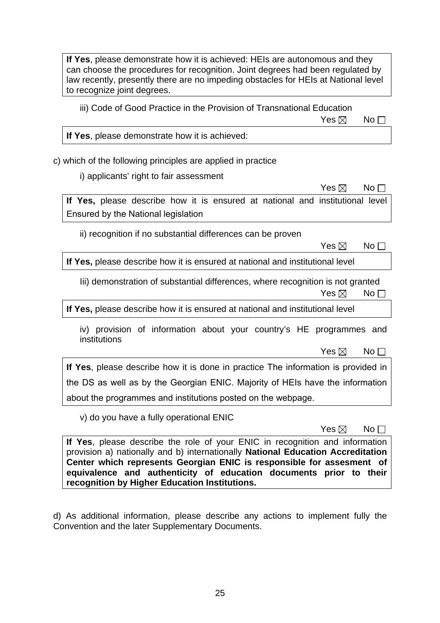**If Yes**, please demonstrate how it is achieved: HEIs are autonomous and they can choose the procedures for recognition. Joint degrees had been regulated by law recently, presently there are no impeding obstacles for HEIs at National level to recognize joint degrees.

iii) Code of Good Practice in the Provision of Transnational Education

 $\mathsf{Yes} \boxtimes \mathsf{No}$ 

**If Yes**, please demonstrate how it is achieved:

c) which of the following principles are applied in practice

i) applicants' right to fair assessment

 $\mathsf{Yes} \boxtimes \mathsf{No}$ **If Yes,** please describe how it is ensured at national and institutional level Ensured by the National legislation

ii) recognition if no substantial differences can be proven

 $\mathsf{Yes} \boxtimes \mathsf{No}$ 

**If Yes,** please describe how it is ensured at national and institutional level

Iii) demonstration of substantial differences, where recognition is not granted  $\mathsf{Yes} \boxtimes \mathsf{No}$ 

**If Yes,** please describe how it is ensured at national and institutional level

iv) provision of information about your country's HE programmes and institutions

 $\mathsf{Yes} \boxtimes \mathsf{No}$ 

**If Yes**, please describe how it is done in practice The information is provided in the DS as well as by the Georgian ENIC. Majority of HEIs have the information about the programmes and institutions posted on the webpage.

v) do you have a fully operational ENIC

 $\mathsf{Yes} \boxtimes \mathsf{No}$ 

**If Yes**, please describe the role of your ENIC in recognition and information provision a) nationally and b) internationally **National Education Accreditation Center which represents Georgian ENIC is responsible for assesment of equivalence and authenticity of education documents prior to their recognition by Higher Education Institutions.** 

d) As additional information, please describe any actions to implement fully the Convention and the later Supplementary Documents.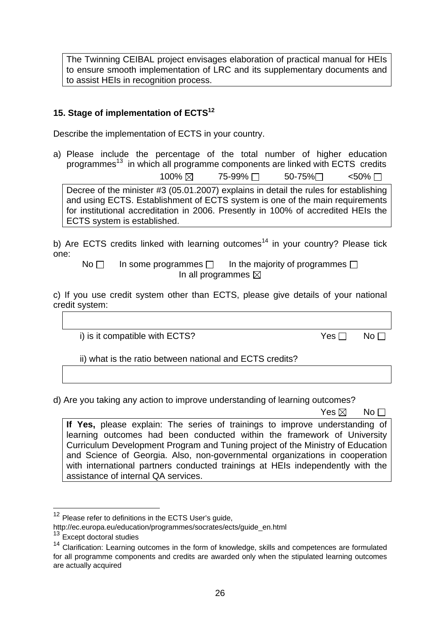The Twinning CEIBAL project envisages elaboration of practical manual for HEIs to ensure smooth implementation of LRC and its supplementary documents and to assist HEIs in recognition process.

# **15. Stage of implementation of ECTS12**

Describe the implementation of ECTS in your country.

a) Please include the percentage of the total number of higher education programmes<sup>13</sup> in which all programme components are linked with ECTS credits  $100\% \boxtimes$  75-99%  $\Box$  50-75%  $\Box$  <50%  $\Box$ Decree of the minister #3 (05.01.2007) explains in detail the rules for establishing and using ECTS. Establishment of ECTS system is one of the main requirements for institutional accreditation in 2006. Presently in 100% of accredited HEIs the

ECTS system is established.

b) Are ECTS credits linked with learning outcomes<sup>14</sup> in your country? Please tick one:

No  $\Box$  In some programmes  $\Box$  In the majority of programmes  $\Box$ In all programmes  $\boxtimes$ 

c) If you use credit system other than ECTS, please give details of your national credit system:

i) is it compatible with ECTS?  $Yes \Box \qquad No \Box$ 

ii) what is the ratio between national and ECTS credits?

d) Are you taking any action to improve understanding of learning outcomes?

 $\mathsf{Yes} \boxtimes \mathsf{No}$ 

**If Yes,** please explain: The series of trainings to improve understanding of learning outcomes had been conducted within the framework of University Curriculum Development Program and Tuning project of the Ministry of Education and Science of Georgia. Also, non-governmental organizations in cooperation with international partners conducted trainings at HEIs independently with the assistance of internal QA services.

 $\overline{a}$ 

<sup>&</sup>lt;sup>12</sup> Please refer to definitions in the ECTS User's guide,

http://ec.europa.eu/education/programmes/socrates/ects/guide\_en.html <sup>13</sup> Except doctoral studies

<sup>&</sup>lt;sup>14</sup> Clarification: Learning outcomes in the form of knowledge, skills and competences are formulated for all programme components and credits are awarded only when the stipulated learning outcomes are actually acquired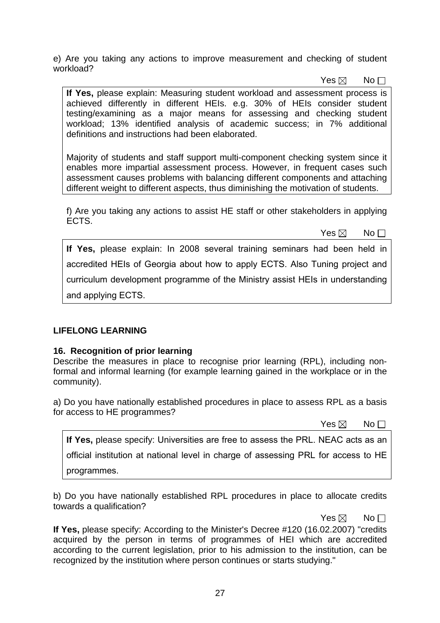e) Are you taking any actions to improve measurement and checking of student workload?

 $\mathsf{Yes} \boxtimes \mathsf{No}$ 

**If Yes,** please explain: Measuring student workload and assessment process is achieved differently in different HEIs. e.g. 30% of HEIs consider student testing/examining as a major means for assessing and checking student workload; 13% identified analysis of academic success; in 7% additional definitions and instructions had been elaborated.

Majority of students and staff support multi-component checking system since it enables more impartial assessment process. However, in frequent cases such assessment causes problems with balancing different components and attaching different weight to different aspects, thus diminishing the motivation of students.

f) Are you taking any actions to assist HE staff or other stakeholders in applying ECTS.

 $\mathsf{Yes} \boxtimes \mathsf{No}$ 

**If Yes,** please explain: In 2008 several training seminars had been held in accredited HEIs of Georgia about how to apply ECTS. Also Tuning project and curriculum development programme of the Ministry assist HEIs in understanding and applying ECTS.

## **LIFELONG LEARNING**

## **16. Recognition of prior learning**

Describe the measures in place to recognise prior learning (RPL), including nonformal and informal learning (for example learning gained in the workplace or in the community).

a) Do you have nationally established procedures in place to assess RPL as a basis for access to HE programmes?

 $\mathsf{Yes} \boxtimes \mathsf{No}$ 

| If Yes, please specify: Universities are free to assess the PRL. NEAC acts as an   |
|------------------------------------------------------------------------------------|
| official institution at national level in charge of assessing PRL for access to HE |
| programmes.                                                                        |

b) Do you have nationally established RPL procedures in place to allocate credits towards a qualification?

 $\mathsf{Yes} \boxtimes \mathsf{No}$ 

**If Yes,** please specify: According to the Minister's Decree #120 (16.02.2007) "credits acquired by the person in terms of programmes of HEI which are accredited according to the current legislation, prior to his admission to the institution, can be recognized by the institution where person continues or starts studying."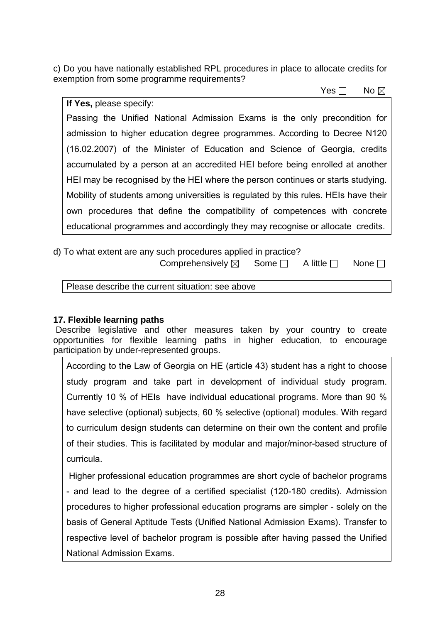c) Do you have nationally established RPL procedures in place to allocate credits for exemption from some programme requirements?

 $\mathsf{Yes} \ \Box \quad \mathsf{No}$ 

**If Yes,** please specify: Passing the Unified National Admission Exams is the only precondition for admission to higher education degree programmes. According to Decree N120 (16.02.2007) of the Minister of Education and Science of Georgia, credits accumulated by a person at an accredited HEI before being enrolled at another HEI may be recognised by the HEI where the person continues or starts studying. Mobility of students among universities is regulated by this rules. HEIs have their own procedures that define the compatibility of competences with concrete educational programmes and accordingly they may recognise or allocate credits.

# d) To what extent are any such procedures applied in practice?

Comprehensively  $\boxtimes$  Some  $\Box$  A little  $\Box$  None  $\Box$ 

Please describe the current situation: see above

# **17. Flexible learning paths**

 Describe legislative and other measures taken by your country to create opportunities for flexible learning paths in higher education, to encourage participation by under-represented groups.

According to the Law of Georgia on HE (article 43) student has a right to choose study program and take part in development of individual study program. Currently 10 % of HEIs have individual educational programs. More than 90 % have selective (optional) subjects, 60 % selective (optional) modules. With regard to curriculum design students can determine on their own the content and profile of their studies. This is facilitated by modular and major/minor-based structure of curricula.

 Higher professional education programmes are short cycle of bachelor programs - and lead to the degree of a certified specialist (120-180 credits). Admission procedures to higher professional education programs are simpler - solely on the basis of General Aptitude Tests (Unified National Admission Exams). Transfer to respective level of bachelor program is possible after having passed the Unified National Admission Exams.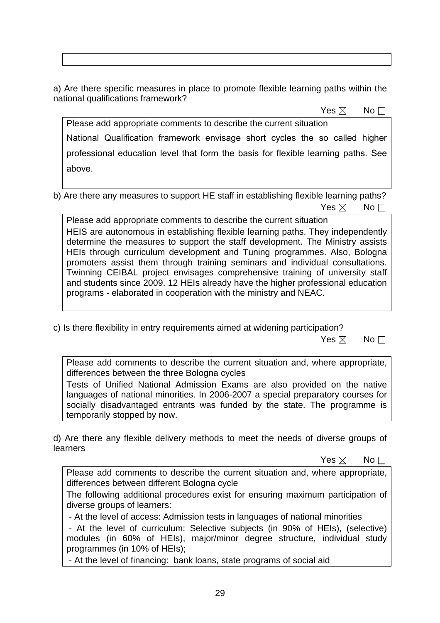a) Are there specific measures in place to promote flexible learning paths within the national qualifications framework?

 $\mathsf{Yes} \boxtimes \mathsf{No}$ 

Please add appropriate comments to describe the current situation National Qualification framework envisage short cycles the so called higher professional education level that form the basis for flexible learning paths. See above.

b) Are there any measures to support HE staff in establishing flexible learning paths?  $\mathsf{Yes} \boxtimes \mathsf{No}$ 

Please add appropriate comments to describe the current situation HEIS are autonomous in establishing flexible learning paths. They independently determine the measures to support the staff development. The Ministry assists HEIs through curriculum development and Tuning programmes. Also, Bologna promoters assist them through training seminars and individual consultations. Twinning CEIBAL project envisages comprehensive training of university staff and students since 2009. 12 HEIs already have the higher professional education programs - elaborated in cooperation with the ministry and NEAC.

c) Is there flexibility in entry requirements aimed at widening participation?

 $\mathsf{Yes} \boxtimes \mathsf{No}$ 

Please add comments to describe the current situation and, where appropriate, differences between the three Bologna cycles

Tests of Unified National Admission Exams are also provided on the native languages of national minorities. In 2006-2007 a special preparatory courses for socially disadvantaged entrants was funded by the state. The programme is temporarily stopped by now.

d) Are there any flexible delivery methods to meet the needs of diverse groups of learners

 $\mathsf{Yes} \boxtimes \mathsf{No}$ 

Please add comments to describe the current situation and, where appropriate, differences between different Bologna cycle

The following additional procedures exist for ensuring maximum participation of diverse groups of learners:

- At the level of access: Admission tests in languages of national minorities

 - At the level of curriculum: Selective subjects (in 90% of HEIs), (selective) modules (in 60% of HEIs), major/minor degree structure, individual study programmes (in 10% of HEIs);

- At the level of financing: bank loans, state programs of social aid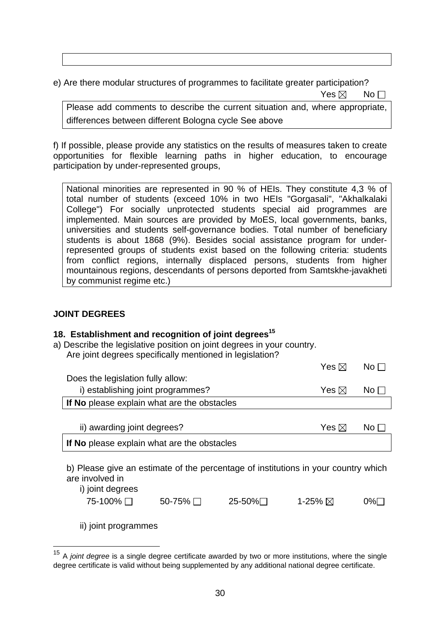e) Are there modular structures of programmes to facilitate greater participation?  $\mathsf{Yes} \boxtimes \mathsf{No}$ 

Please add comments to describe the current situation and, where appropriate, differences between different Bologna cycle See above

f) If possible, please provide any statistics on the results of measures taken to create opportunities for flexible learning paths in higher education, to encourage participation by under-represented groups,

National minorities are represented in 90 % of HEIs. They constitute 4,3 % of total number of students (exceed 10% in two HEIs "Gorgasali", "Akhalkalaki College") For socially unprotected students special aid programmes are implemented. Main sources are provided by MoES, local governments, banks, universities and students self-governance bodies. Total number of beneficiary students is about 1868 (9%). Besides social assistance program for underrepresented groups of students exist based on the following criteria: students from conflict regions, internally displaced persons, students from higher mountainous regions, descendants of persons deported from Samtskhe-javakheti by communist regime etc.)

### **JOINT DEGREES**

### 18. Establishment and recognition of joint degrees<sup>15</sup>

a) Describe the legislative position on joint degrees in your country. Are joint degrees specifically mentioned in legislation?

|                                                                                                       | Yes $\boxtimes$ | No E |
|-------------------------------------------------------------------------------------------------------|-----------------|------|
| Does the legislation fully allow:                                                                     |                 |      |
| i) establishing joint programmes?                                                                     | Yes $\boxtimes$ | No L |
| If No please explain what are the obstacles                                                           |                 |      |
|                                                                                                       |                 |      |
| ii) awarding joint degrees?                                                                           | Yes $\boxtimes$ | No L |
| If No please explain what are the obstacles                                                           |                 |      |
| b) Please give an estimate of the percentage of institutions in your country which<br>are involved in |                 |      |

| i) joint degrees |               |         |         |     |
|------------------|---------------|---------|---------|-----|
| 75-100% □        | 50-75% $\Box$ | 25-50%□ | 1-25% ⊠ | 0%⊟ |
|                  |               |         |         |     |

ii) joint programmes

 $\overline{a}$ 

<sup>15</sup> A *joint degree* is a single degree certificate awarded by two or more institutions, where the single degree certificate is valid without being supplemented by any additional national degree certificate.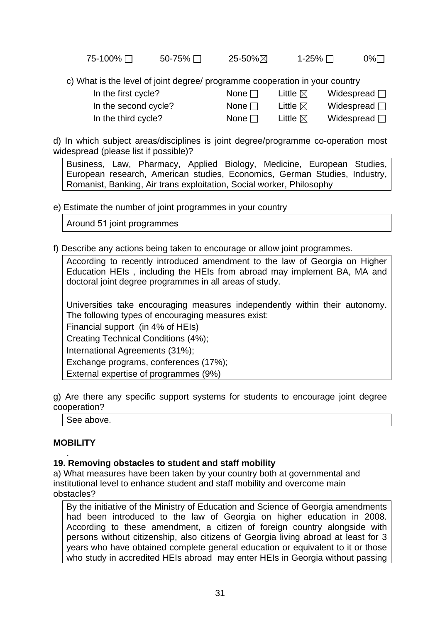| 75-100% □ | 50-75% □ | 25-50%図 | 1-25% □ | 0%⊟ |
|-----------|----------|---------|---------|-----|
|           |          |         |         |     |

c) What is the level of joint degree/ programme cooperation in your country

In the first cycle? None  $\Box$  Little  $\boxtimes$  Widespread  $\Box$ In the second cycle? None  $\Box$  Little  $\boxtimes$  Widespread  $\Box$ In the third cycle? None  $\Box$  Little  $\boxtimes$  Widespread  $\Box$ 

d) In which subject areas/disciplines is joint degree/programme co-operation most widespread (please list if possible)?

Business, Law, Pharmacy, Applied Biology, Medicine, European Studies, European research, American studies, Economics, German Studies, Industry, Romanist, Banking, Air trans exploitation, Social worker, Philosophy

e) Estimate the number of joint programmes in your country

Around 51 joint programmes

f) Describe any actions being taken to encourage or allow joint programmes.

According to recently introduced amendment to the law of Georgia on Higher Education HEIs , including the HEIs from abroad may implement BA, MA and doctoral joint degree programmes in all areas of study.

Universities take encouraging measures independently within their autonomy. The following types of encouraging measures exist:

Financial support (in 4% of HEIs)

Creating Technical Conditions (4%);

International Agreements (31%);

Exchange programs, conferences (17%);

External expertise of programmes (9%)

g) Are there any specific support systems for students to encourage joint degree cooperation?

See above.

# **MOBILITY**

#### . **19. Removing obstacles to student and staff mobility**

a) What measures have been taken by your country both at governmental and institutional level to enhance student and staff mobility and overcome main obstacles?

By the initiative of the Ministry of Education and Science of Georgia amendments had been introduced to the law of Georgia on higher education in 2008. According to these amendment, a citizen of foreign country alongside with persons without citizenship, also citizens of Georgia living abroad at least for 3 years who have obtained complete general education or equivalent to it or those who study in accredited HEIs abroad may enter HEIs in Georgia without passing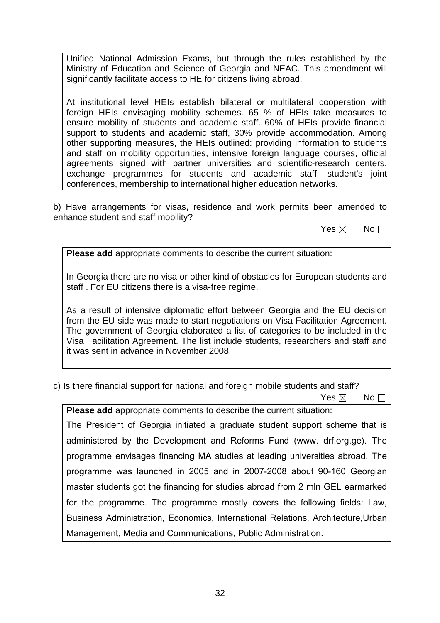Unified National Admission Exams, but through the rules established by the Ministry of Education and Science of Georgia and NEAC. This amendment will significantly facilitate access to HE for citizens living abroad.

At institutional level HEIs establish bilateral or multilateral cooperation with foreign HEIs envisaging mobility schemes. 65 % of HEIs take measures to ensure mobility of students and academic staff. 60% of HEIs provide financial support to students and academic staff, 30% provide accommodation. Among other supporting measures, the HEIs outlined: providing information to students and staff on mobility opportunities, intensive foreign language courses, official agreements signed with partner universities and scientific-research centers, exchange programmes for students and academic staff, student's joint conferences, membership to international higher education networks.

b) Have arrangements for visas, residence and work permits been amended to enhance student and staff mobility?

 $\mathsf{Yes} \boxtimes \mathsf{No}$ 

**Please add** appropriate comments to describe the current situation:

In Georgia there are no visa or other kind of obstacles for European students and staff . For EU citizens there is a visa-free regime.

As a result of intensive diplomatic effort between Georgia and the EU decision from the EU side was made to start negotiations on Visa Facilitation Agreement. The government of Georgia elaborated a list of categories to be included in the Visa Facilitation Agreement. The list include students, researchers and staff and it was sent in advance in November 2008.

c) Is there financial support for national and foreign mobile students and staff?

 $\mathsf{Yes} \boxtimes \mathsf{No}$ 

**Please add** appropriate comments to describe the current situation: The President of Georgia initiated a graduate student support scheme that is administered by the Development and Reforms Fund (www. drf.org.ge). The programme envisages financing MA studies at leading universities abroad. The programme was launched in 2005 and in 2007-2008 about 90-160 Georgian master students got the financing for studies abroad from 2 mln GEL earmarked for the programme. The programme mostly covers the following fields: Law, Business Administration, Economics, International Relations, Architecture,Urban Management, Media and Communications, Public Administration.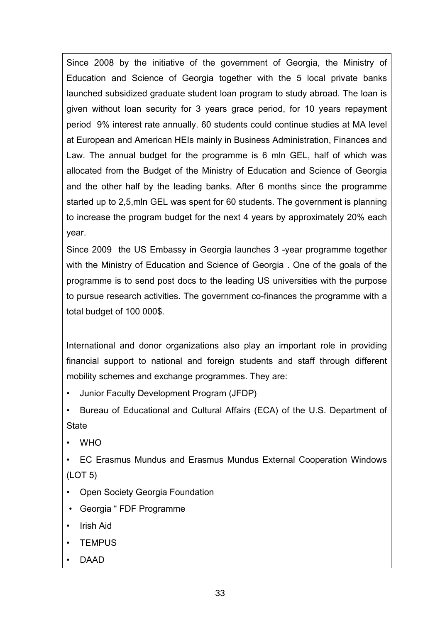Since 2008 by the initiative of the government of Georgia, the Ministry of Education and Science of Georgia together with the 5 local private banks launched subsidized graduate student loan program to study abroad. The loan is given without loan security for 3 years grace period, for 10 years repayment period 9% interest rate annually. 60 students could continue studies at MA level at European and American HEIs mainly in Business Administration, Finances and Law. The annual budget for the programme is 6 mln GEL, half of which was allocated from the Budget of the Ministry of Education and Science of Georgia and the other half by the leading banks. After 6 months since the programme started up to 2,5,mln GEL was spent for 60 students. The government is planning to increase the program budget for the next 4 years by approximately 20% each year.

Since 2009 the US Embassy in Georgia launches 3 -year programme together with the Ministry of Education and Science of Georgia . One of the goals of the programme is to send post docs to the leading US universities with the purpose to pursue research activities. The government co-finances the programme with a total budget of 100 000\$.

International and donor organizations also play an important role in providing financial support to national and foreign students and staff through different mobility schemes and exchange programmes. They are:

• Junior Faculty Development Program (JFDP)

• Bureau of Educational and Cultural Affairs (ECA) of the U.S. Department of **State** 

- WHO
- EC Erasmus Mundus and Erasmus Mundus External Cooperation Windows (LOT 5)
- Open Society Georgia Foundation
- Georgia " FDF Programme
- Irish Aid
- TEMPUS
- DAAD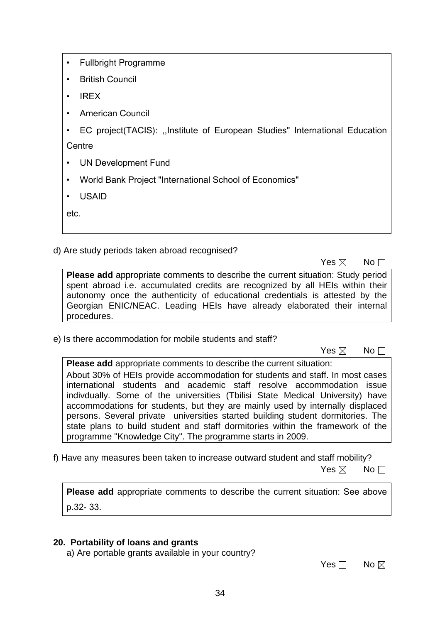• Fullbright Programme

• British Council

• IREX

• American Council

• EC project(TACIS): ,,Institute of European Studies" International Education **Centre** 

• UN Development Fund

• World Bank Project "International School of Economics"

• USAID

etc.

d) Are study periods taken abroad recognised?

 $\mathsf{Yes} \boxtimes \mathsf{No}$ 

**Please add** appropriate comments to describe the current situation: Study period spent abroad i.e. accumulated credits are recognized by all HEIs within their autonomy once the authenticity of educational credentials is attested by the Georgian ENIC/NEAC. Leading HEIs have already elaborated their internal procedures.

e) Is there accommodation for mobile students and staff?

 $\mathsf{Yes} \boxtimes \mathsf{No}$ 

**Please add** appropriate comments to describe the current situation: About 30% of HEIs provide accommodation for students and staff. In most cases international students and academic staff resolve accommodation issue indivdually. Some of the universities (Tbilisi State Medical University) have accommodations for students, but they are mainly used by internally displaced persons. Several private universities started building student dormitories. The state plans to build student and staff dormitories within the framework of the programme "Knowledge City". The programme starts in 2009.

f) Have any measures been taken to increase outward student and staff mobility?  $\mathsf{Yes} \boxtimes \mathsf{No}$ 

**Please add** appropriate comments to describe the current situation: See above p.32- 33.

## **20. Portability of loans and grants**

a) Are portable grants available in your country?

No and the set of the set of the SNo and the No and No and No and No and No and No and No and No and No and No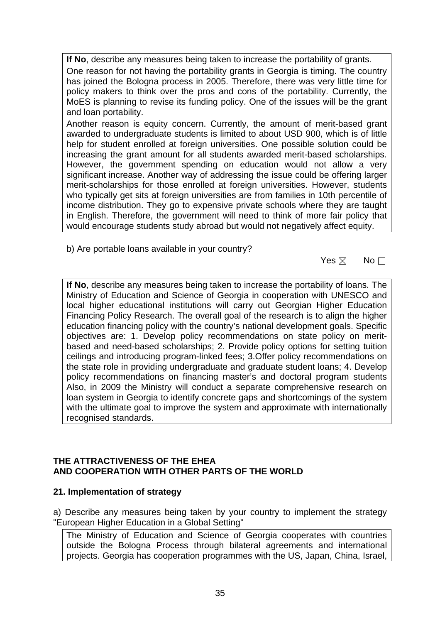**If No**, describe any measures being taken to increase the portability of grants. One reason for not having the portability grants in Georgia is timing. The country has joined the Bologna process in 2005. Therefore, there was very little time for policy makers to think over the pros and cons of the portability. Currently, the MoES is planning to revise its funding policy. One of the issues will be the grant and loan portability.

Another reason is equity concern. Currently, the amount of merit-based grant awarded to undergraduate students is limited to about USD 900, which is of little help for student enrolled at foreign universities. One possible solution could be increasing the grant amount for all students awarded merit-based scholarships. However, the government spending on education would not allow a very significant increase. Another way of addressing the issue could be offering larger merit-scholarships for those enrolled at foreign universities. However, students who typically get sits at foreign universities are from families in 10th percentile of income distribution. They go to expensive private schools where they are taught in English. Therefore, the government will need to think of more fair policy that would encourage students study abroad but would not negatively affect equity.

b) Are portable loans available in your country?

 $\mathsf{Yes} \boxtimes \mathsf{No}$ 

**If No**, describe any measures being taken to increase the portability of loans. The Ministry of Education and Science of Georgia in cooperation with UNESCO and local higher educational institutions will carry out Georgian Higher Education Financing Policy Research. The overall goal of the research is to align the higher education financing policy with the country's national development goals. Specific objectives are: 1. Develop policy recommendations on state policy on meritbased and need-based scholarships; 2. Provide policy options for setting tuition ceilings and introducing program-linked fees; 3.Offer policy recommendations on the state role in providing undergraduate and graduate student loans; 4. Develop policy recommendations on financing master's and doctoral program students Also, in 2009 the Ministry will conduct a separate comprehensive research on loan system in Georgia to identify concrete gaps and shortcomings of the system with the ultimate goal to improve the system and approximate with internationally recognised standards.

## **THE ATTRACTIVENESS OF THE EHEA AND COOPERATION WITH OTHER PARTS OF THE WORLD**

## **21. Implementation of strategy**

a) Describe any measures being taken by your country to implement the strategy "European Higher Education in a Global Setting"

The Ministry of Education and Science of Georgia cooperates with countries outside the Bologna Process through bilateral agreements and international projects. Georgia has cooperation programmes with the US, Japan, China, Israel,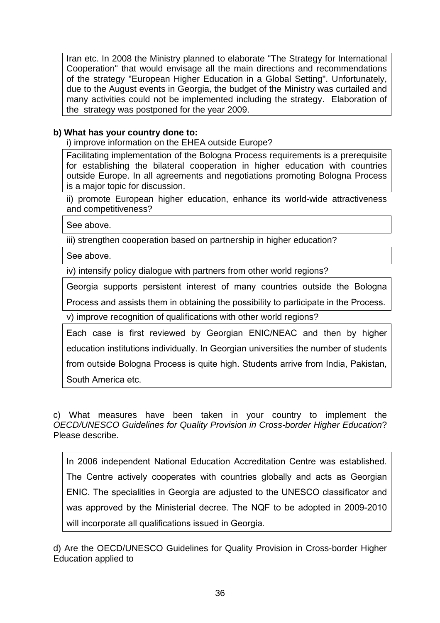Iran etc. In 2008 the Ministry planned to elaborate "The Strategy for International Cooperation" that would envisage all the main directions and recommendations of the strategy "European Higher Education in a Global Setting". Unfortunately, due to the August events in Georgia, the budget of the Ministry was curtailed and many activities could not be implemented including the strategy. Elaboration of the strategy was postponed for the year 2009.

## **b) What has your country done to:**

i) improve information on the EHEA outside Europe?

Facilitating implementation of the Bologna Process requirements is a prerequisite for establishing the bilateral cooperation in higher education with countries outside Europe. In all agreements and negotiations promoting Bologna Process is a major topic for discussion.

ii) promote European higher education, enhance its world-wide attractiveness and competitiveness?

See above.

iii) strengthen cooperation based on partnership in higher education?

See above.

iv) intensify policy dialogue with partners from other world regions?

Georgia supports persistent interest of many countries outside the Bologna Process and assists them in obtaining the possibility to participate in the Process.

v) improve recognition of qualifications with other world regions?

Each case is first reviewed by Georgian ENIC/NEAC and then by higher education institutions individually. In Georgian universities the number of students from outside Bologna Process is quite high. Students arrive from India, Pakistan, South America etc.

c) What measures have been taken in your country to implement the *OECD/UNESCO Guidelines for Quality Provision in Cross-border Higher Education*? Please describe.

In 2006 independent National Education Accreditation Centre was established. The Centre actively cooperates with countries globally and acts as Georgian ENIC. The specialities in Georgia are adjusted to the UNESCO classificator and was approved by the Ministerial decree. The NQF to be adopted in 2009-2010 will incorporate all qualifications issued in Georgia.

d) Are the OECD/UNESCO Guidelines for Quality Provision in Cross-border Higher Education applied to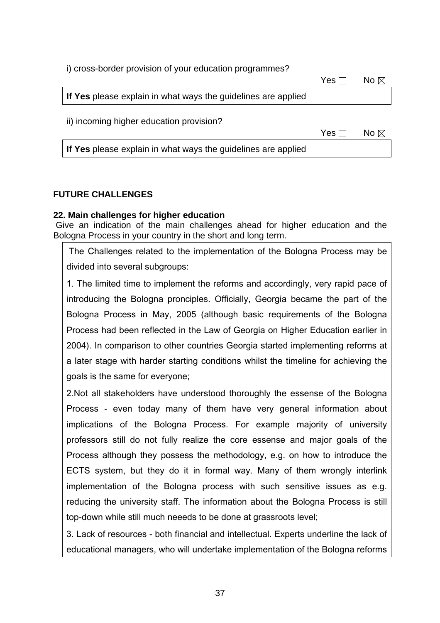i) cross-border provision of your education programmes? No and the set of the set of the SNo and the SNo and the No and the No and No and No and No and No and No and No **If Yes** please explain in what ways the guidelines are applied ii) incoming higher education provision?

No and the set of the set of the SNo and the SNo and the No and the No and No and No and No and No and No and No

**If Yes** please explain in what ways the guidelines are applied

## **FUTURE CHALLENGES**

### **22. Main challenges for higher education**

 Give an indication of the main challenges ahead for higher education and the Bologna Process in your country in the short and long term.

 The Challenges related to the implementation of the Bologna Process may be divided into several subgroups:

1. The limited time to implement the reforms and accordingly, very rapid pace of introducing the Bologna pronciples. Officially, Georgia became the part of the Bologna Process in May, 2005 (although basic requirements of the Bologna Process had been reflected in the Law of Georgia on Higher Education earlier in 2004). In comparison to other countries Georgia started implementing reforms at a later stage with harder starting conditions whilst the timeline for achieving the goals is the same for everyone;

2.Not all stakeholders have understood thoroughly the essense of the Bologna Process - even today many of them have very general information about implications of the Bologna Process. For example majority of university professors still do not fully realize the core essense and major goals of the Process although they possess the methodology, e.g. on how to introduce the ECTS system, but they do it in formal way. Many of them wrongly interlink implementation of the Bologna process with such sensitive issues as e.g. reducing the university staff. The information about the Bologna Process is still top-down while still much neeeds to be done at grassroots level;

3. Lack of resources - both financial and intellectual. Experts underline the lack of educational managers, who will undertake implementation of the Bologna reforms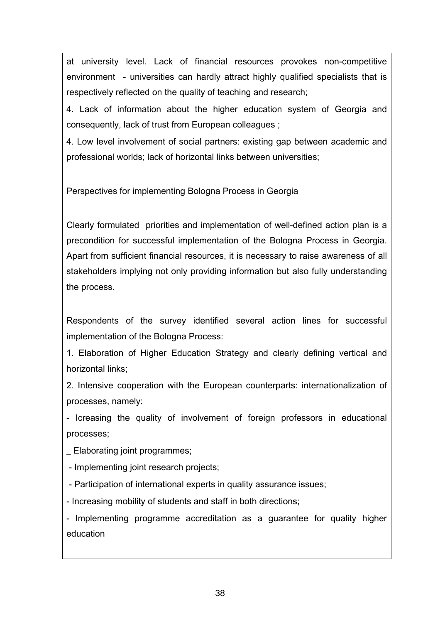at university level. Lack of financial resources provokes non-competitive environment - universities can hardly attract highly qualified specialists that is respectively reflected on the quality of teaching and research;

4. Lack of information about the higher education system of Georgia and consequently, lack of trust from European colleagues ;

4. Low level involvement of social partners: existing gap between academic and professional worlds; lack of horizontal links between universities;

Perspectives for implementing Bologna Process in Georgia

Clearly formulated priorities and implementation of well-defined action plan is a precondition for successful implementation of the Bologna Process in Georgia. Apart from sufficient financial resources, it is necessary to raise awareness of all stakeholders implying not only providing information but also fully understanding the process.

Respondents of the survey identified several action lines for successful implementation of the Bologna Process:

1. Elaboration of Higher Education Strategy and clearly defining vertical and horizontal links;

2. Intensive cooperation with the European counterparts: internationalization of processes, namely:

- Icreasing the quality of involvement of foreign professors in educational processes;

\_ Elaborating joint programmes;

- Implementing joint research projects;

- Participation of international experts in quality assurance issues;

- Increasing mobility of students and staff in both directions;

- Implementing programme accreditation as a guarantee for quality higher education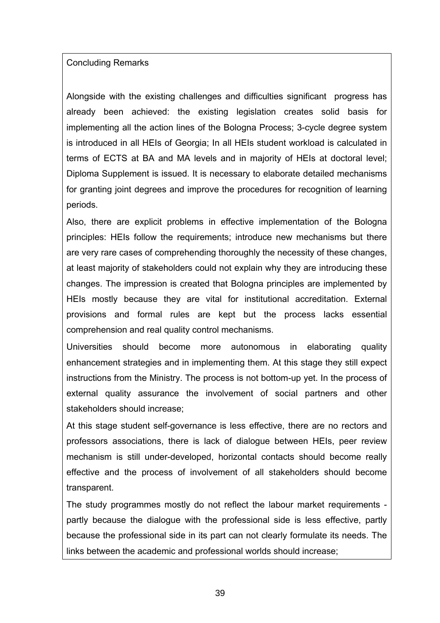## Concluding Remarks

Alongside with the existing challenges and difficulties significant progress has already been achieved: the existing legislation creates solid basis for implementing all the action lines of the Bologna Process; 3-cycle degree system is introduced in all HEIs of Georgia; In all HEIs student workload is calculated in terms of ECTS at BA and MA levels and in majority of HEIs at doctoral level; Diploma Supplement is issued. It is necessary to elaborate detailed mechanisms for granting joint degrees and improve the procedures for recognition of learning periods.

Also, there are explicit problems in effective implementation of the Bologna principles: HEIs follow the requirements; introduce new mechanisms but there are very rare cases of comprehending thoroughly the necessity of these changes, at least majority of stakeholders could not explain why they are introducing these changes. The impression is created that Bologna principles are implemented by HEIs mostly because they are vital for institutional accreditation. External provisions and formal rules are kept but the process lacks essential comprehension and real quality control mechanisms.

Universities should become more autonomous in elaborating quality enhancement strategies and in implementing them. At this stage they still expect instructions from the Ministry. The process is not bottom-up yet. In the process of external quality assurance the involvement of social partners and other stakeholders should increase;

At this stage student self-governance is less effective, there are no rectors and professors associations, there is lack of dialogue between HEIs, peer review mechanism is still under-developed, horizontal contacts should become really effective and the process of involvement of all stakeholders should become transparent.

The study programmes mostly do not reflect the labour market requirements partly because the dialogue with the professional side is less effective, partly because the professional side in its part can not clearly formulate its needs. The links between the academic and professional worlds should increase;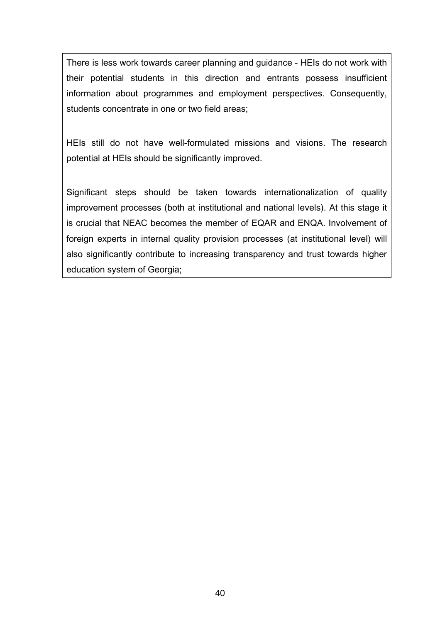There is less work towards career planning and guidance - HEIs do not work with their potential students in this direction and entrants possess insufficient information about programmes and employment perspectives. Consequently, students concentrate in one or two field areas;

HEIs still do not have well-formulated missions and visions. The research potential at HEIs should be significantly improved.

Significant steps should be taken towards internationalization of quality improvement processes (both at institutional and national levels). At this stage it is crucial that NEAC becomes the member of EQAR and ENQA. Involvement of foreign experts in internal quality provision processes (at institutional level) will also significantly contribute to increasing transparency and trust towards higher education system of Georgia;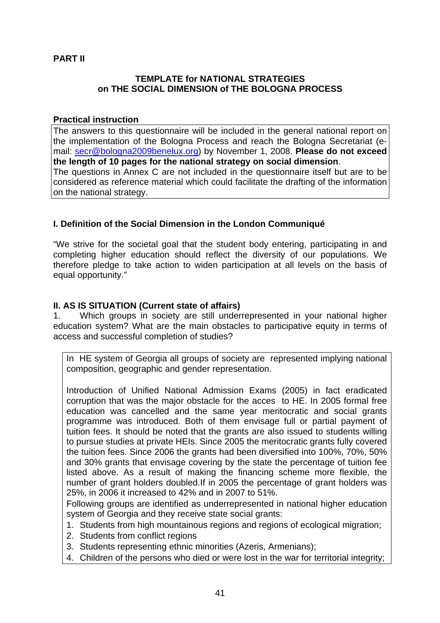## **PART II**

### **TEMPLATE for NATIONAL STRATEGIES on THE SOCIAL DIMENSION of THE BOLOGNA PROCESS**

### **Practical instruction**

The answers to this questionnaire will be included in the general national report on the implementation of the Bologna Process and reach the Bologna Secretariat (email: secr@bologna2009benelux.org) by November 1, 2008. **Please do not exceed the length of 10 pages for the national strategy on social dimension**. The questions in Annex C are not included in the questionnaire itself but are to be considered as reference material which could facilitate the drafting of the information on the national strategy.

# **I. Definition of the Social Dimension in the London Communiqué**

"We strive for the societal goal that the student body entering, participating in and completing higher education should reflect the diversity of our populations. We therefore pledge to take action to widen participation at all levels on the basis of equal opportunity."

## **II. AS IS SITUATION (Current state of affairs)**

1. Which groups in society are still underrepresented in your national higher education system? What are the main obstacles to participative equity in terms of access and successful completion of studies?

In HE system of Georgia all groups of society are represented implying national composition, geographic and gender representation.

Introduction of Unified National Admission Exams (2005) in fact eradicated corruption that was the major obstacle for the acces to HE. In 2005 formal free education was cancelled and the same year meritocratic and social grants programme was introduced. Both of them envisage full or partial payment of tuition fees. It should be noted that the grants are also issued to students willing to pursue studies at private HEIs. Since 2005 the meritocratic grants fully covered the tuition fees. Since 2006 the grants had been diversified into 100%, 70%, 50% and 30% grants that envisage covering by the state the percentage of tuition fee listed above. As a result of making the financing scheme more flexible, the number of grant holders doubled.If in 2005 the percentage of grant holders was 25%, in 2006 it increased to 42% and in 2007 to 51%.

Following groups are identified as underrepresented in national higher education system of Georgia and they receive state social grants:

- 1. Students from high mountainous regions and regions of ecological migration;
- 2. Students from conflict regions
- 3. Students representing ethnic minorities (Azeris, Armenians);
- 4. Children of the persons who died or were lost in the war for territorial integrity;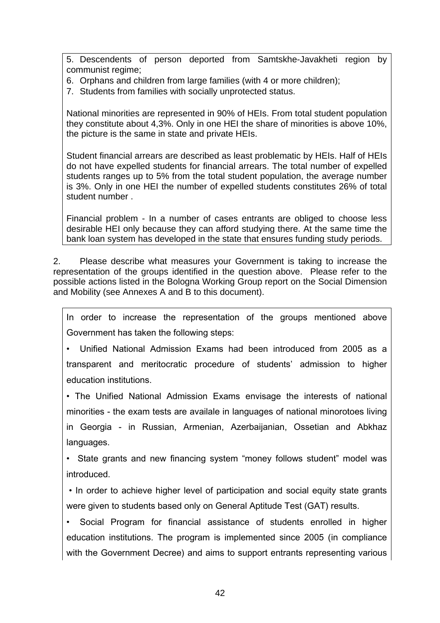5. Descendents of person deported from Samtskhe-Javakheti region by communist regime;

6. Orphans and children from large families (with 4 or more children);

7. Students from families with socially unprotected status.

National minorities are represented in 90% of HEIs. From total student population they constitute about 4,3%. Only in one HEI the share of minorities is above 10%, the picture is the same in state and private HEIs.

Student financial arrears are described as least problematic by HEIs. Half of HEIs do not have expelled students for financial arrears. The total number of expelled students ranges up to 5% from the total student population, the average number is 3%. Only in one HEI the number of expelled students constitutes 26% of total student number .

Financial problem - In a number of cases entrants are obliged to choose less desirable HEI only because they can afford studying there. At the same time the bank loan system has developed in the state that ensures funding study periods.

2. Please describe what measures your Government is taking to increase the representation of the groups identified in the question above. Please refer to the possible actions listed in the Bologna Working Group report on the Social Dimension and Mobility (see Annexes A and B to this document).

In order to increase the representation of the groups mentioned above Government has taken the following steps:

• Unified National Admission Exams had been introduced from 2005 as a transparent and meritocratic procedure of students' admission to higher education institutions.

• The Unified National Admission Exams envisage the interests of national minorities - the exam tests are availale in languages of national minorotoes living in Georgia - in Russian, Armenian, Azerbaijanian, Ossetian and Abkhaz languages.

• State grants and new financing system "money follows student" model was introduced.

• In order to achieve higher level of participation and social equity state grants were given to students based only on General Aptitude Test (GAT) results.

• Social Program for financial assistance of students enrolled in higher education institutions. The program is implemented since 2005 (in compliance with the Government Decree) and aims to support entrants representing various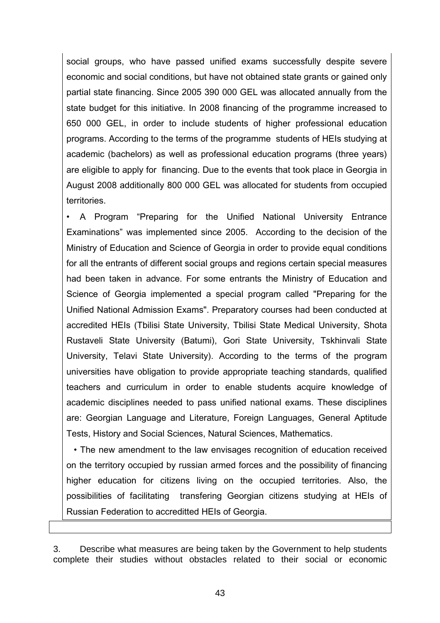social groups, who have passed unified exams successfully despite severe economic and social conditions, but have not obtained state grants or gained only partial state financing. Since 2005 390 000 GEL was allocated annually from the state budget for this initiative. In 2008 financing of the programme increased to 650 000 GEL, in order to include students of higher professional education programs. According to the terms of the programme students of HEIs studying at academic (bachelors) as well as professional education programs (three years) are eligible to apply for financing. Due to the events that took place in Georgia in August 2008 additionally 800 000 GEL was allocated for students from occupied territories.

• A Program "Preparing for the Unified National University Entrance Examinations" was implemented since 2005. According to the decision of the Ministry of Education and Science of Georgia in order to provide equal conditions for all the entrants of different social groups and regions certain special measures had been taken in advance. For some entrants the Ministry of Education and Science of Georgia implemented a special program called "Preparing for the Unified National Admission Exams". Preparatory courses had been conducted at accredited HEIs (Tbilisi State University, Tbilisi State Medical University, Shota Rustaveli State University (Batumi), Gori State University, Tskhinvali State University, Telavi State University). According to the terms of the program universities have obligation to provide appropriate teaching standards, qualified teachers and curriculum in order to enable students acquire knowledge of academic disciplines needed to pass unified national exams. These disciplines are: Georgian Language and Literature, Foreign Languages, General Aptitude Tests, History and Social Sciences, Natural Sciences, Mathematics.

 • The new amendment to the law envisages recognition of education received on the territory occupied by russian armed forces and the possibility of financing higher education for citizens living on the occupied territories. Also, the possibilities of facilitating transfering Georgian citizens studying at HEIs of Russian Federation to accreditted HEIs of Georgia.

3. Describe what measures are being taken by the Government to help students complete their studies without obstacles related to their social or economic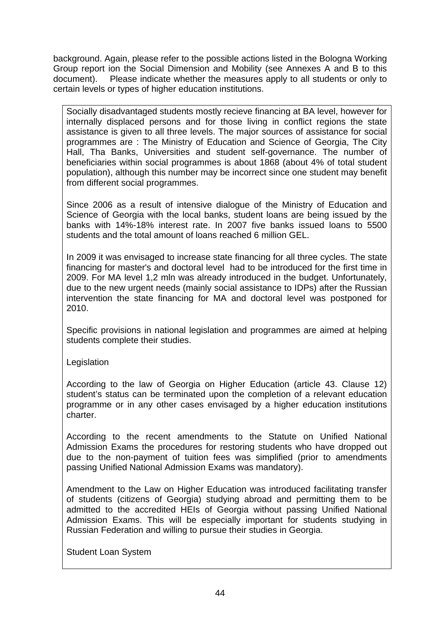background. Again, please refer to the possible actions listed in the Bologna Working Group report ion the Social Dimension and Mobility (see Annexes A and B to this document). Please indicate whether the measures apply to all students or only to certain levels or types of higher education institutions.

Socially disadvantaged students mostly recieve financing at BA level, however for internally displaced persons and for those living in conflict regions the state assistance is given to all three levels. The major sources of assistance for social programmes are : The Ministry of Education and Science of Georgia, The City Hall, Tha Banks, Universities and student self-governance. The number of beneficiaries within social programmes is about 1868 (about 4% of total student population), although this number may be incorrect since one student may benefit from different social programmes.

Since 2006 as a result of intensive dialogue of the Ministry of Education and Science of Georgia with the local banks, student loans are being issued by the banks with 14%-18% interest rate. In 2007 five banks issued loans to 5500 students and the total amount of loans reached 6 million GEL.

In 2009 it was envisaged to increase state financing for all three cycles. The state financing for master's and doctoral level had to be introduced for the first time in 2009. For MA level 1,2 mln was already introduced in the budget. Unfortunately, due to the new urgent needs (mainly social assistance to IDPs) after the Russian intervention the state financing for MA and doctoral level was postponed for 2010.

Specific provisions in national legislation and programmes are aimed at helping students complete their studies.

**Legislation** 

According to the law of Georgia on Higher Education (article 43. Clause 12) student's status can be terminated upon the completion of a relevant education programme or in any other cases envisaged by a higher education institutions charter.

According to the recent amendments to the Statute on Unified National Admission Exams the procedures for restoring students who have dropped out due to the non-payment of tuition fees was simplified (prior to amendments passing Unified National Admission Exams was mandatory).

Amendment to the Law on Higher Education was introduced facilitating transfer of students (citizens of Georgia) studying abroad and permitting them to be admitted to the accredited HEIs of Georgia without passing Unified National Admission Exams. This will be especially important for students studying in Russian Federation and willing to pursue their studies in Georgia.

Student Loan System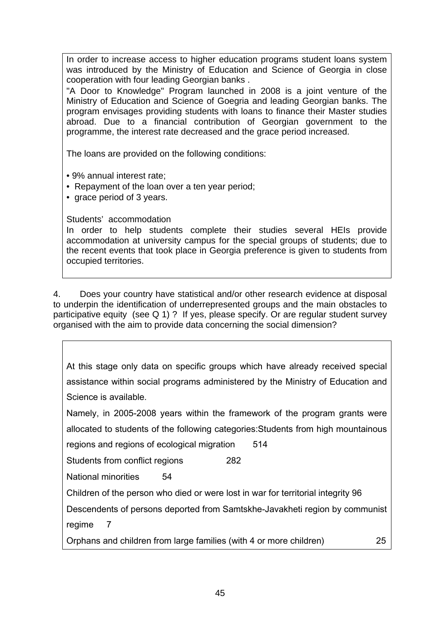In order to increase access to higher education programs student loans system was introduced by the Ministry of Education and Science of Georgia in close cooperation with four leading Georgian banks .

"A Door to Knowledge" Program launched in 2008 is a joint venture of the Ministry of Education and Science of Goegria and leading Georgian banks. The program envisages providing students with loans to finance their Master studies abroad. Due to a financial contribution of Georgian government to the programme, the interest rate decreased and the grace period increased.

The loans are provided on the following conditions:

• 9% annual interest rate;

• Repayment of the loan over a ten year period;

• grace period of 3 years.

Students' accommodation

In order to help students complete their studies several HEIs provide accommodation at university campus for the special groups of students; due to the recent events that took place in Georgia preference is given to students from occupied territories.

4. Does your country have statistical and/or other research evidence at disposal to underpin the identification of underrepresented groups and the main obstacles to participative equity (see Q 1) ? If yes, please specify. Or are regular student survey organised with the aim to provide data concerning the social dimension?

At this stage only data on specific groups which have already received special assistance within social programs administered by the Ministry of Education and Science is available.

Namely, in 2005-2008 years within the framework of the program grants were allocated to students of the following categories:Students from high mountainous

regions and regions of ecological migration 514

Students from conflict regions 282

National minorities 54

Children of the person who died or were lost in war for territorial integrity 96

Descendents of persons deported from Samtskhe-Javakheti region by communist regime 7

Orphans and children from large families (with 4 or more children) 25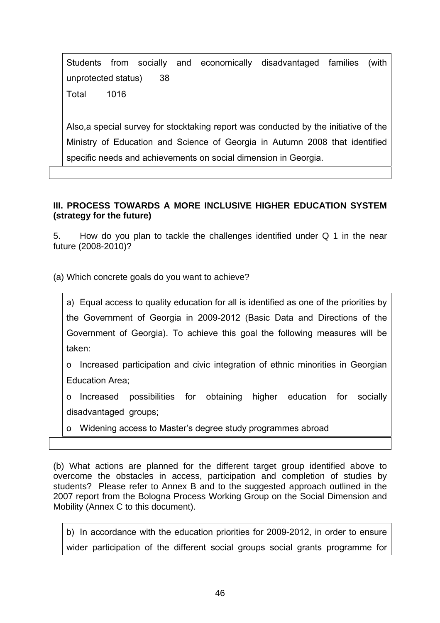Students from socially and economically disadvantaged families (with unprotected status) 38 Total 1016

Also,a special survey for stocktaking report was conducted by the initiative of the Ministry of Education and Science of Georgia in Autumn 2008 that identified specific needs and achievements on social dimension in Georgia.

## **III. PROCESS TOWARDS A MORE INCLUSIVE HIGHER EDUCATION SYSTEM (strategy for the future)**

5. How do you plan to tackle the challenges identified under Q 1 in the near future (2008-2010)?

(a) Which concrete goals do you want to achieve?

a) Equal access to quality education for all is identified as one of the priorities by the Government of Georgia in 2009-2012 (Basic Data and Directions of the Government of Georgia). To achieve this goal the following measures will be taken:

o Increased participation and civic integration of ethnic minorities in Georgian Education Area;

o Increased possibilities for obtaining higher education for socially disadvantaged groups;

o Widening access to Master's degree study programmes abroad

(b) What actions are planned for the different target group identified above to overcome the obstacles in access, participation and completion of studies by students? Please refer to Annex B and to the suggested approach outlined in the 2007 report from the Bologna Process Working Group on the Social Dimension and Mobility (Annex C to this document).

b) In accordance with the education priorities for 2009-2012, in order to ensure wider participation of the different social groups social grants programme for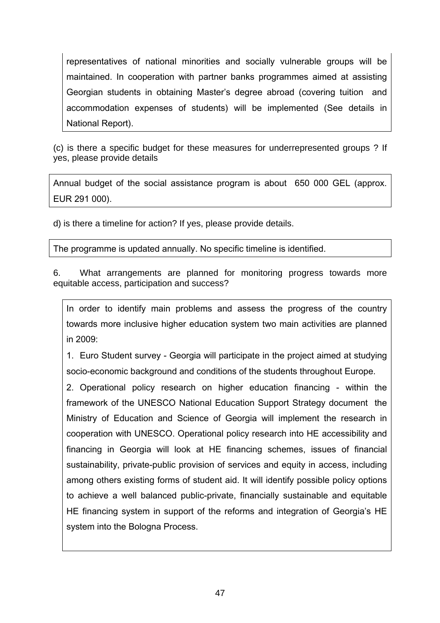representatives of national minorities and socially vulnerable groups will be maintained. In cooperation with partner banks programmes aimed at assisting Georgian students in obtaining Master's degree abroad (covering tuition and accommodation expenses of students) will be implemented (See details in National Report).

(c) is there a specific budget for these measures for underrepresented groups ? If yes, please provide details

Annual budget of the social assistance program is about 650 000 GEL (approx. EUR 291 000).

d) is there a timeline for action? If yes, please provide details.

The programme is updated annually. No specific timeline is identified.

6. What arrangements are planned for monitoring progress towards more equitable access, participation and success?

In order to identify main problems and assess the progress of the country towards more inclusive higher education system two main activities are planned in 2009:

1. Euro Student survey - Georgia will participate in the project aimed at studying socio-economic background and conditions of the students throughout Europe.

2. Operational policy research on higher education financing - within the framework of the UNESCO National Education Support Strategy document the Ministry of Education and Science of Georgia will implement the research in cooperation with UNESCO. Operational policy research into HE accessibility and financing in Georgia will look at HE financing schemes, issues of financial sustainability, private-public provision of services and equity in access, including among others existing forms of student aid. It will identify possible policy options to achieve a well balanced public-private, financially sustainable and equitable HE financing system in support of the reforms and integration of Georgia's HE system into the Bologna Process.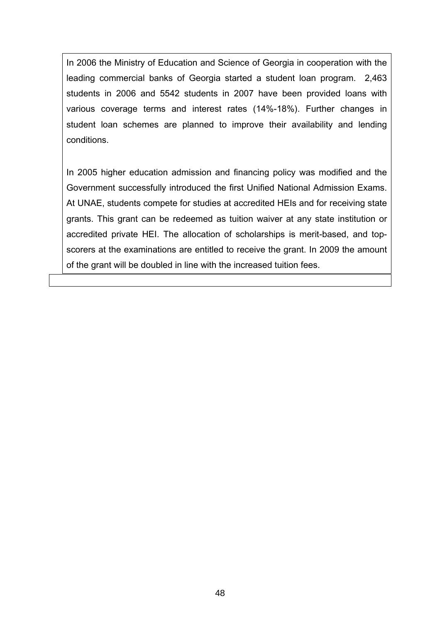In 2006 the Ministry of Education and Science of Georgia in cooperation with the leading commercial banks of Georgia started a student loan program. 2,463 students in 2006 and 5542 students in 2007 have been provided loans with various coverage terms and interest rates (14%-18%). Further changes in student loan schemes are planned to improve their availability and lending conditions.

In 2005 higher education admission and financing policy was modified and the Government successfully introduced the first Unified National Admission Exams. At UNAE, students compete for studies at accredited HEIs and for receiving state grants. This grant can be redeemed as tuition waiver at any state institution or accredited private HEI. The allocation of scholarships is merit-based, and topscorers at the examinations are entitled to receive the grant. In 2009 the amount of the grant will be doubled in line with the increased tuition fees.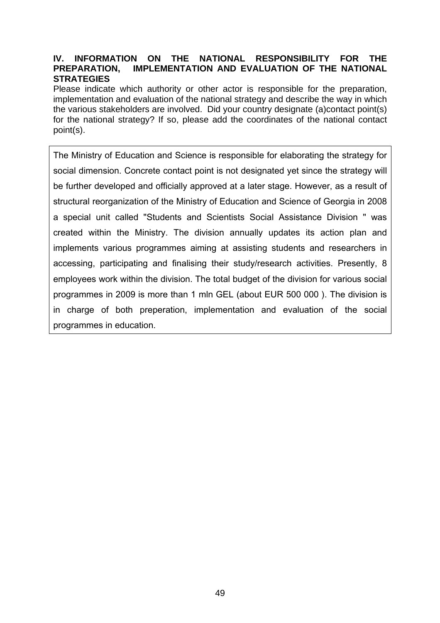### **IV. INFORMATION ON THE NATIONAL RESPONSIBILITY FOR THE PREPARATION, IMPLEMENTATION AND EVALUATION OF THE NATIONAL STRATEGIES**

Please indicate which authority or other actor is responsible for the preparation, implementation and evaluation of the national strategy and describe the way in which the various stakeholders are involved. Did your country designate (a)contact point(s) for the national strategy? If so, please add the coordinates of the national contact point(s).

The Ministry of Education and Science is responsible for elaborating the strategy for social dimension. Concrete contact point is not designated yet since the strategy will be further developed and officially approved at a later stage. However, as a result of structural reorganization of the Ministry of Education and Science of Georgia in 2008 a special unit called "Students and Scientists Social Assistance Division " was created within the Ministry. The division annually updates its action plan and implements various programmes aiming at assisting students and researchers in accessing, participating and finalising their study/research activities. Presently, 8 employees work within the division. The total budget of the division for various social programmes in 2009 is more than 1 mln GEL (about EUR 500 000 ). The division is in charge of both preperation, implementation and evaluation of the social programmes in education.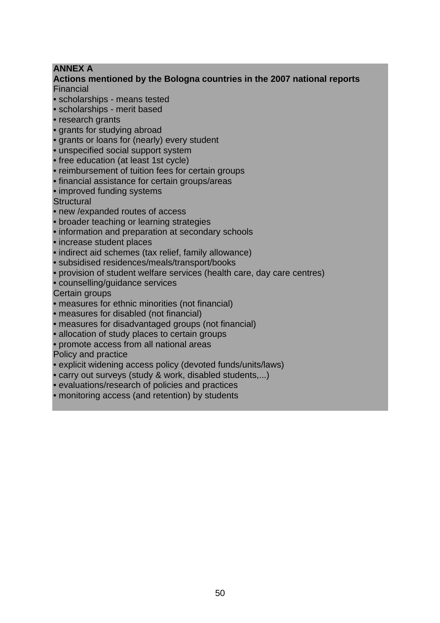## **ANNEX A**

### **Actions mentioned by the Bologna countries in the 2007 national reports**  Financial

- scholarships means tested
- scholarships merit based
- research grants
- grants for studying abroad
- grants or loans for (nearly) every student
- unspecified social support system
- free education (at least 1st cycle)
- reimbursement of tuition fees for certain groups
- financial assistance for certain groups/areas
- improved funding systems

**Structural** 

- new /expanded routes of access
- broader teaching or learning strategies
- information and preparation at secondary schools
- increase student places
- indirect aid schemes (tax relief, family allowance)
- subsidised residences/meals/transport/books
- provision of student welfare services (health care, day care centres)
- counselling/guidance services

Certain groups

- measures for ethnic minorities (not financial)
- measures for disabled (not financial)
- measures for disadvantaged groups (not financial)
- allocation of study places to certain groups
- promote access from all national areas

Policy and practice

- explicit widening access policy (devoted funds/units/laws)
- carry out surveys (study & work, disabled students,...)
- evaluations/research of policies and practices
- monitoring access (and retention) by students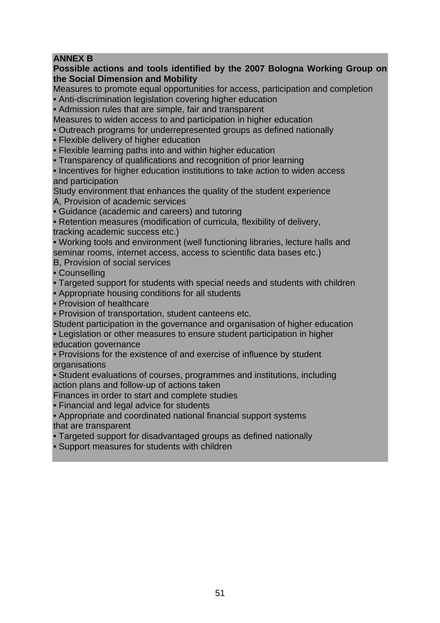# **ANNEX B**

## **Possible actions and tools identified by the 2007 Bologna Working Group on the Social Dimension and Mobility**

Measures to promote equal opportunities for access, participation and completion • Anti-discrimination legislation covering higher education

• Admission rules that are simple, fair and transparent

Measures to widen access to and participation in higher education

• Outreach programs for underrepresented groups as defined nationally

• Flexible delivery of higher education

• Flexible learning paths into and within higher education

• Transparency of qualifications and recognition of prior learning

• Incentives for higher education institutions to take action to widen access and participation

Study environment that enhances the quality of the student experience

A, Provision of academic services

• Guidance (academic and careers) and tutoring

• Retention measures (modification of curricula, flexibility of delivery,

tracking academic success etc.)

• Working tools and environment (well functioning libraries, lecture halls and seminar rooms, internet access, access to scientific data bases etc.)

B, Provision of social services

• Counselling

• Targeted support for students with special needs and students with children

• Appropriate housing conditions for all students

• Provision of healthcare

• Provision of transportation, student canteens etc.

Student participation in the governance and organisation of higher education

• Legislation or other measures to ensure student participation in higher education governance

• Provisions for the existence of and exercise of influence by student **organisations** 

• Student evaluations of courses, programmes and institutions, including action plans and follow-up of actions taken

Finances in order to start and complete studies

• Financial and legal advice for students

• Appropriate and coordinated national financial support systems that are transparent

• Targeted support for disadvantaged groups as defined nationally

• Support measures for students with children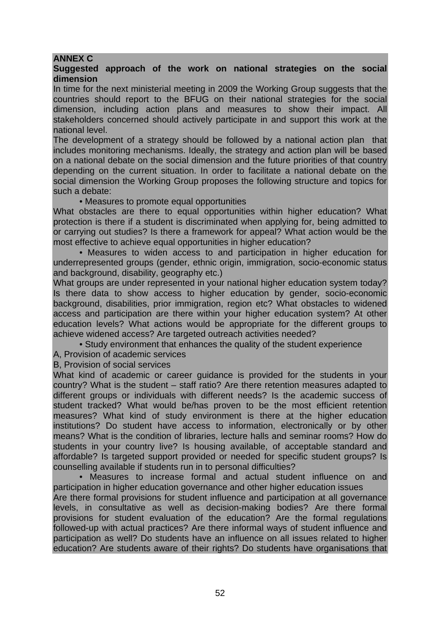## **ANNEX C**

### **Suggested approach of the work on national strategies on the social dimension**

In time for the next ministerial meeting in 2009 the Working Group suggests that the countries should report to the BFUG on their national strategies for the social dimension, including action plans and measures to show their impact. All stakeholders concerned should actively participate in and support this work at the national level.

The development of a strategy should be followed by a national action plan that includes monitoring mechanisms. Ideally, the strategy and action plan will be based on a national debate on the social dimension and the future priorities of that country depending on the current situation. In order to facilitate a national debate on the social dimension the Working Group proposes the following structure and topics for such a debate:

• Measures to promote equal opportunities

What obstacles are there to equal opportunities within higher education? What protection is there if a student is discriminated when applying for, being admitted to or carrying out studies? Is there a framework for appeal? What action would be the most effective to achieve equal opportunities in higher education?

• Measures to widen access to and participation in higher education for underrepresented groups (gender, ethnic origin, immigration, socio-economic status and background, disability, geography etc.)

What groups are under represented in your national higher education system today? Is there data to show access to higher education by gender, socio-economic background, disabilities, prior immigration, region etc? What obstacles to widened access and participation are there within your higher education system? At other education levels? What actions would be appropriate for the different groups to achieve widened access? Are targeted outreach activities needed?

• Study environment that enhances the quality of the student experience

A, Provision of academic services

B, Provision of social services

What kind of academic or career guidance is provided for the students in your country? What is the student – staff ratio? Are there retention measures adapted to different groups or individuals with different needs? Is the academic success of student tracked? What would be/has proven to be the most efficient retention measures? What kind of study environment is there at the higher education institutions? Do student have access to information, electronically or by other means? What is the condition of libraries, lecture halls and seminar rooms? How do students in your country live? Is housing available, of acceptable standard and affordable? Is targeted support provided or needed for specific student groups? Is counselling available if students run in to personal difficulties?

• Measures to increase formal and actual student influence on and participation in higher education governance and other higher education issues Are there formal provisions for student influence and participation at all governance levels, in consultative as well as decision-making bodies? Are there formal provisions for student evaluation of the education? Are the formal regulations followed-up with actual practices? Are there informal ways of student influence and participation as well? Do students have an influence on all issues related to higher education? Are students aware of their rights? Do students have organisations that